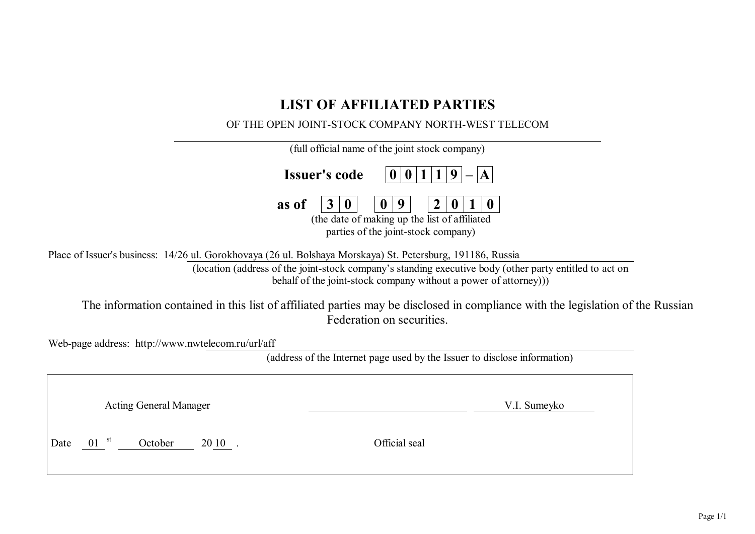# **LIST OF AFFILIATED PARTIES**

## OF THE OPEN JOINT-STOCK COMPANY NORTH-WEST TELECOM

| (full official name of the joint stock company)                                                                                                                                                                        |
|------------------------------------------------------------------------------------------------------------------------------------------------------------------------------------------------------------------------|
| <b>Issuer's code</b>                                                                                                                                                                                                   |
| as of<br>(the date of making up the list of affiliated<br>parties of the joint-stock company)                                                                                                                          |
| Place of Issuer's business: 14/26 ul. Gorokhovaya (26 ul. Bolshaya Morskaya) St. Petersburg, 191186, Russia<br>(location (address of the joint-stock company's standing executive body (other party entitled to act on |
| behalf of the joint-stock company without a power of attorney))                                                                                                                                                        |
| The information contained in this list of affiliated parties may be disclosed in compliance with the legislation of the Russian<br>Federation on securities.                                                           |
| Web-page address: http://www.nwtelecom.ru/url/aff                                                                                                                                                                      |
| (address of the Internet page used by the Issuer to disclose information)                                                                                                                                              |
|                                                                                                                                                                                                                        |
| <b>Acting General Manager</b><br>V.I. Sumeyko                                                                                                                                                                          |

Date 01<sup>st</sup> October 20 10 . Official seal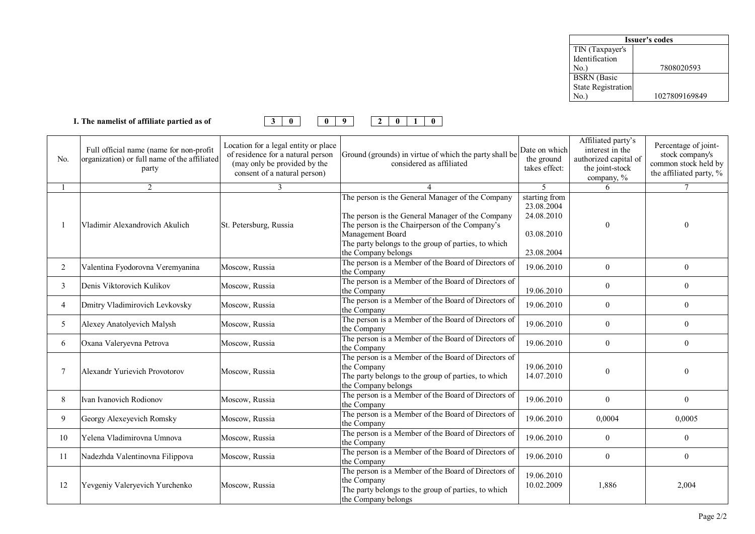| <b>Issuer's codes</b>     |               |  |  |  |  |  |
|---------------------------|---------------|--|--|--|--|--|
| TIN (Taxpayer's           |               |  |  |  |  |  |
| Identification            |               |  |  |  |  |  |
| No.)                      | 7808020593    |  |  |  |  |  |
| <b>BSRN</b> (Basic        |               |  |  |  |  |  |
| <b>State Registration</b> |               |  |  |  |  |  |
| Jο.                       | 1027809169849 |  |  |  |  |  |



| No. | Full official name (name for non-profit<br>organization) or full name of the affiliated<br>party | Location for a legal entity or place<br>of residence for a natural person<br>(may only be provided by the<br>consent of a natural person) | Ground (grounds) in virtue of which the party shall be<br>considered as affiliated                                                                                                                                                                       | Date on which<br>the ground<br>takes effect:                          | Affiliated party's<br>interest in the<br>authorized capital of<br>the joint-stock<br>company, $\%$ | Percentage of joint-<br>stock company's<br>common stock held by<br>the affiliated party, % |
|-----|--------------------------------------------------------------------------------------------------|-------------------------------------------------------------------------------------------------------------------------------------------|----------------------------------------------------------------------------------------------------------------------------------------------------------------------------------------------------------------------------------------------------------|-----------------------------------------------------------------------|----------------------------------------------------------------------------------------------------|--------------------------------------------------------------------------------------------|
|     | 2                                                                                                | 3                                                                                                                                         |                                                                                                                                                                                                                                                          | $\mathfrak{S}$                                                        | 6                                                                                                  | $\tau$                                                                                     |
|     | Vladimir Alexandrovich Akulich                                                                   | St. Petersburg, Russia                                                                                                                    | The person is the General Manager of the Company<br>The person is the General Manager of the Company<br>The person is the Chairperson of the Company's<br>Management Board<br>The party belongs to the group of parties, to which<br>the Company belongs | starting from<br>23.08.2004<br>24.08.2010<br>03.08.2010<br>23.08.2004 | $\Omega$                                                                                           |                                                                                            |
| 2   | Valentina Fyodorovna Veremyanina                                                                 | Moscow, Russia                                                                                                                            | The person is a Member of the Board of Directors of<br>the Company                                                                                                                                                                                       | 19.06.2010                                                            | $\theta$                                                                                           | $\overline{0}$                                                                             |
| 3   | Denis Viktorovich Kulikov                                                                        | Moscow, Russia                                                                                                                            | The person is a Member of the Board of Directors of<br>the Company                                                                                                                                                                                       | 19.06.2010                                                            | $\theta$                                                                                           | $\overline{0}$                                                                             |
| 4   | Dmitry Vladimirovich Levkovsky                                                                   | Moscow, Russia                                                                                                                            | The person is a Member of the Board of Directors of<br>the Company                                                                                                                                                                                       | 19.06.2010                                                            | $\mathbf{0}$                                                                                       | $\overline{0}$                                                                             |
| 5   | Alexey Anatolyevich Malysh                                                                       | Moscow, Russia                                                                                                                            | The person is a Member of the Board of Directors of<br>the Company                                                                                                                                                                                       | 19.06.2010                                                            | $\mathbf{0}$                                                                                       | $\overline{0}$                                                                             |
| 6   | Oxana Valeryevna Petrova                                                                         | Moscow, Russia                                                                                                                            | The person is a Member of the Board of Directors of<br>the Company                                                                                                                                                                                       | 19.06.2010                                                            | $\mathbf{0}$                                                                                       | $\overline{0}$                                                                             |
| 7   | Alexandr Yurievich Provotorov                                                                    | Moscow, Russia                                                                                                                            | The person is a Member of the Board of Directors of<br>the Company<br>The party belongs to the group of parties, to which<br>the Company belongs                                                                                                         | 19.06.2010<br>14.07.2010                                              | $\theta$                                                                                           | 0                                                                                          |
| 8   | Ivan Ivanovich Rodionov                                                                          | Moscow, Russia                                                                                                                            | The person is a Member of the Board of Directors of<br>the Company                                                                                                                                                                                       | 19.06.2010                                                            | $\mathbf{0}$                                                                                       | $\boldsymbol{0}$                                                                           |
| 9   | Georgy Alexeyevich Romsky                                                                        | Moscow, Russia                                                                                                                            | The person is a Member of the Board of Directors of<br>the Company                                                                                                                                                                                       | 19.06.2010                                                            | 0,0004                                                                                             | 0,0005                                                                                     |
| 10  | Yelena Vladimirovna Umnova                                                                       | Moscow, Russia                                                                                                                            | The person is a Member of the Board of Directors of<br>the Company                                                                                                                                                                                       | 19.06.2010                                                            | $\mathbf{0}$                                                                                       | 0                                                                                          |
| 11  | Nadezhda Valentinovna Filippova                                                                  | Moscow, Russia                                                                                                                            | The person is a Member of the Board of Directors of<br>the Company                                                                                                                                                                                       | 19.06.2010                                                            | $\boldsymbol{0}$                                                                                   | $\boldsymbol{0}$                                                                           |
| 12  | Yevgeniy Valeryevich Yurchenko                                                                   | Moscow, Russia                                                                                                                            | The person is a Member of the Board of Directors of<br>the Company<br>The party belongs to the group of parties, to which<br>the Company belongs                                                                                                         | 19.06.2010<br>10.02.2009                                              | 1,886                                                                                              | 2,004                                                                                      |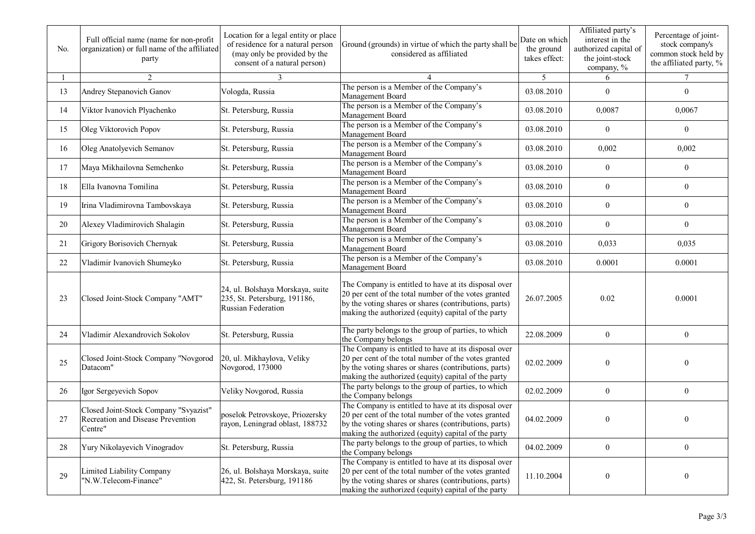| No. | Full official name (name for non-profit<br>organization) or full name of the affiliated<br>party | Location for a legal entity or place<br>of residence for a natural person<br>(may only be provided by the<br>consent of a natural person) | Ground (grounds) in virtue of which the party shall be<br>considered as affiliated                                                                                                                                           | Date on which<br>the ground<br>takes effect: | Affiliated party's<br>interest in the<br>authorized capital of<br>the joint-stock<br>company, % | Percentage of joint-<br>stock company's<br>common stock held by<br>the affiliated party, % |
|-----|--------------------------------------------------------------------------------------------------|-------------------------------------------------------------------------------------------------------------------------------------------|------------------------------------------------------------------------------------------------------------------------------------------------------------------------------------------------------------------------------|----------------------------------------------|-------------------------------------------------------------------------------------------------|--------------------------------------------------------------------------------------------|
|     | 2                                                                                                |                                                                                                                                           |                                                                                                                                                                                                                              | 5                                            | 6                                                                                               | 7                                                                                          |
| 13  | Andrey Stepanovich Ganov                                                                         | Vologda, Russia                                                                                                                           | The person is a Member of the Company's<br>Management Board                                                                                                                                                                  | 03.08.2010                                   | $\mathbf{0}$                                                                                    | $\boldsymbol{0}$                                                                           |
| 14  | Viktor Ivanovich Plyachenko                                                                      | St. Petersburg, Russia                                                                                                                    | The person is a Member of the Company's<br>Management Board                                                                                                                                                                  | 03.08.2010                                   | 0,0087                                                                                          | 0,0067                                                                                     |
| 15  | Oleg Viktorovich Popov                                                                           | St. Petersburg, Russia                                                                                                                    | The person is a Member of the Company's<br>Management Board                                                                                                                                                                  | 03.08.2010                                   | $\boldsymbol{0}$                                                                                | 0                                                                                          |
| 16  | Oleg Anatolyevich Semanov                                                                        | St. Petersburg, Russia                                                                                                                    | The person is a Member of the Company's<br>Management Board                                                                                                                                                                  | 03.08.2010                                   | 0,002                                                                                           | 0,002                                                                                      |
| 17  | Maya Mikhailovna Semchenko                                                                       | St. Petersburg, Russia                                                                                                                    | The person is a Member of the Company's<br>Management Board                                                                                                                                                                  | 03.08.2010                                   | $\boldsymbol{0}$                                                                                | 0                                                                                          |
| 18  | Ella Ivanovna Tomilina                                                                           | St. Petersburg, Russia                                                                                                                    | The person is a Member of the Company's<br>Management Board                                                                                                                                                                  | 03.08.2010                                   | $\boldsymbol{0}$                                                                                | $\boldsymbol{0}$                                                                           |
| 19  | Irina Vladimirovna Tambovskaya                                                                   | St. Petersburg, Russia                                                                                                                    | The person is a Member of the Company's<br>Management Board                                                                                                                                                                  | 03.08.2010                                   | $\boldsymbol{0}$                                                                                | $\mathbf{0}$                                                                               |
| 20  | Alexey Vladimirovich Shalagin                                                                    | St. Petersburg, Russia                                                                                                                    | The person is a Member of the Company's<br>Management Board                                                                                                                                                                  | 03.08.2010                                   | $\boldsymbol{0}$                                                                                | $\mathbf{0}$                                                                               |
| 21  | Grigory Borisovich Chernyak                                                                      | St. Petersburg, Russia                                                                                                                    | The person is a Member of the Company's<br>Management Board                                                                                                                                                                  | 03.08.2010                                   | 0,033                                                                                           | 0,035                                                                                      |
| 22  | Vladimir Ivanovich Shumeyko                                                                      | St. Petersburg, Russia                                                                                                                    | The person is a Member of the Company's<br>Management Board                                                                                                                                                                  | 03.08.2010                                   | 0.0001                                                                                          | 0.0001                                                                                     |
| 23  | Closed Joint-Stock Company "AMT"                                                                 | 24, ul. Bolshaya Morskaya, suite<br>235, St. Petersburg, 191186,<br>Russian Federation                                                    | The Company is entitled to have at its disposal over<br>20 per cent of the total number of the votes granted<br>by the voting shares or shares (contributions, parts)<br>making the authorized (equity) capital of the party | 26.07.2005                                   | 0.02                                                                                            | 0.0001                                                                                     |
| 24  | Vladimir Alexandrovich Sokolov                                                                   | St. Petersburg, Russia                                                                                                                    | The party belongs to the group of parties, to which<br>the Company belongs                                                                                                                                                   | 22.08.2009                                   | $\boldsymbol{0}$                                                                                | $\boldsymbol{0}$                                                                           |
| 25  | Closed Joint-Stock Company "Novgorod<br>Datacom"                                                 | 20, ul. Mikhaylova, Veliky<br>Novgorod, 173000                                                                                            | The Company is entitled to have at its disposal over<br>20 per cent of the total number of the votes granted<br>by the voting shares or shares (contributions, parts)<br>making the authorized (equity) capital of the party | 02.02.2009                                   | $\mathbf{0}$                                                                                    | 0                                                                                          |
| 26  | Igor Sergeyevich Sopov                                                                           | Veliky Novgorod, Russia                                                                                                                   | The party belongs to the group of parties, to which<br>the Company belongs                                                                                                                                                   | 02.02.2009                                   | $\boldsymbol{0}$                                                                                | $\boldsymbol{0}$                                                                           |
| 27  | Closed Joint-Stock Company "Svyazist"<br>Recreation and Disease Prevention<br>Centre"            | poselok Petrovskoye, Priozersky<br>rayon, Leningrad oblast, 188732                                                                        | The Company is entitled to have at its disposal over<br>20 per cent of the total number of the votes granted<br>by the voting shares or shares (contributions, parts)<br>making the authorized (equity) capital of the party | 04.02.2009                                   | $\boldsymbol{0}$                                                                                | 0                                                                                          |
| 28  | Yury Nikolayevich Vinogradov                                                                     | St. Petersburg, Russia                                                                                                                    | The party belongs to the group of parties, to which<br>the Company belongs                                                                                                                                                   | 04.02.2009                                   | $\boldsymbol{0}$                                                                                | $\boldsymbol{0}$                                                                           |
| 29  | Limited Liability Company<br>"N.W.Telecom-Finance"                                               | 26, ul. Bolshaya Morskaya, suite<br>422, St. Petersburg, 191186                                                                           | The Company is entitled to have at its disposal over<br>20 per cent of the total number of the votes granted<br>by the voting shares or shares (contributions, parts)<br>making the authorized (equity) capital of the party | 11.10.2004                                   | $\boldsymbol{0}$                                                                                | $\boldsymbol{0}$                                                                           |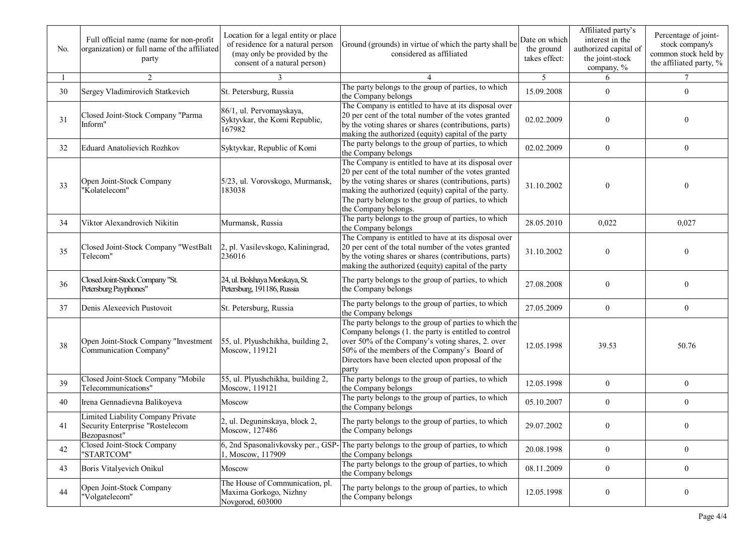| No. | Full official name (name for non-profit<br>organization) or full name of the affiliated<br>party | Location for a legal entity or place<br>of residence for a natural person<br>(may only be provided by the<br>consent of a natural person) | Ground (grounds) in virtue of which the party shall be<br>considered as affiliated                                                                                                                                                                                                                           | Date on which<br>the ground<br>takes effect: | Affiliated party's<br>interest in the<br>authorized capital of<br>the joint-stock<br>company, % | Percentage of joint-<br>stock company's<br>common stock held by<br>the affiliated party, % |
|-----|--------------------------------------------------------------------------------------------------|-------------------------------------------------------------------------------------------------------------------------------------------|--------------------------------------------------------------------------------------------------------------------------------------------------------------------------------------------------------------------------------------------------------------------------------------------------------------|----------------------------------------------|-------------------------------------------------------------------------------------------------|--------------------------------------------------------------------------------------------|
|     | 2                                                                                                | $\mathcal{F}$                                                                                                                             |                                                                                                                                                                                                                                                                                                              | 5                                            | 6                                                                                               | $\tau$                                                                                     |
| 30  | Sergey Vladimirovich Statkevich                                                                  | St. Petersburg, Russia                                                                                                                    | The party belongs to the group of parties, to which<br>the Company belongs                                                                                                                                                                                                                                   | 15.09.2008                                   | $\mathbf{0}$                                                                                    | 0                                                                                          |
| 31  | Closed Joint-Stock Company "Parma<br>Inform"                                                     | 86/1, ul. Pervomayskaya,<br>Syktyvkar, the Komi Republic,<br>167982                                                                       | The Company is entitled to have at its disposal over<br>20 per cent of the total number of the votes granted<br>by the voting shares or shares (contributions, parts)<br>making the authorized (equity) capital of the party                                                                                 | 02.02.2009                                   | $\mathbf{0}$                                                                                    | 0                                                                                          |
| 32  | <b>Eduard Anatolievich Rozhkov</b>                                                               | Syktyvkar, Republic of Komi                                                                                                               | The party belongs to the group of parties, to which<br>the Company belongs                                                                                                                                                                                                                                   | 02.02.2009                                   | $\boldsymbol{0}$                                                                                | $\bf{0}$                                                                                   |
| 33  | Open Joint-Stock Company<br>'Kolatelecom"                                                        | 5/23, ul. Vorovskogo, Murmansk,<br>183038                                                                                                 | The Company is entitled to have at its disposal over<br>20 per cent of the total number of the votes granted<br>by the voting shares or shares (contributions, parts)<br>making the authorized (equity) capital of the party.<br>The party belongs to the group of parties, to which<br>the Company belongs. | 31.10.2002                                   | $\theta$                                                                                        | 0                                                                                          |
| 34  | Viktor Alexandrovich Nikitin                                                                     | Murmansk, Russia                                                                                                                          | The party belongs to the group of parties, to which<br>the Company belongs                                                                                                                                                                                                                                   | 28.05.2010                                   | 0,022                                                                                           | 0,027                                                                                      |
| 35  | Closed Joint-Stock Company "WestBalt<br>Telecom"                                                 | 2, pl. Vasilevskogo, Kaliningrad,<br>236016                                                                                               | The Company is entitled to have at its disposal over<br>20 per cent of the total number of the votes granted<br>by the voting shares or shares (contributions, parts)<br>making the authorized (equity) capital of the party                                                                                 | 31.10.2002                                   | $\boldsymbol{0}$                                                                                | $\overline{0}$                                                                             |
| 36  | Closed Joint-Stock Company "St.<br>Petersburg Payphones"                                         | 24, ul. Bolshaya Morskaya, St.<br>Petersburg, 191186, Russia                                                                              | The party belongs to the group of parties, to which<br>the Company belongs                                                                                                                                                                                                                                   | 27.08.2008                                   | $\boldsymbol{0}$                                                                                | $\overline{0}$                                                                             |
| 37  | Denis Alexeevich Pustovoit                                                                       | St. Petersburg, Russia                                                                                                                    | The party belongs to the group of parties, to which<br>the Company belongs                                                                                                                                                                                                                                   | 27.05.2009                                   | $\mathbf{0}$                                                                                    | $\mathbf{0}$                                                                               |
| 38  | Open Joint-Stock Company "Investment<br>Communication Company"                                   | 55, ul. Plyushchikha, building 2,<br>Moscow, 119121                                                                                       | The party belongs to the group of parties to which the<br>Company belongs (1. the party is entitled to control<br>over 50% of the Company's voting shares, 2. over<br>50% of the members of the Company's Board of<br>Directors have been elected upon proposal of the<br>party                              | 12.05.1998                                   | 39.53                                                                                           | 50.76                                                                                      |
| 39  | Closed Joint-Stock Company "Mobile<br>Telecommunications"                                        | 55, ul. Plyushchikha, building 2,<br>Moscow, 119121                                                                                       | The party belongs to the group of parties, to which<br>the Company belongs                                                                                                                                                                                                                                   | 12.05.1998                                   | $\mathbf{0}$                                                                                    | $\mathbf{0}$                                                                               |
| 40  | Irena Gennadievna Balikoyeva                                                                     | Moscow                                                                                                                                    | The party belongs to the group of parties, to which<br>the Company belongs                                                                                                                                                                                                                                   | 05.10.2007                                   | $\mathbf{0}$                                                                                    | 0                                                                                          |
| 41  | Limited Liability Company Private<br>Security Enterprise "Rostelecom<br>Bezopasnost"             | 2, ul. Deguninskaya, block 2,<br>Moscow, 127486                                                                                           | The party belongs to the group of parties, to which<br>the Company belongs                                                                                                                                                                                                                                   | 29.07.2002                                   | $\boldsymbol{0}$                                                                                |                                                                                            |
| 42  | Closed Joint-Stock Company<br>"STARTCOM"                                                         | 6, 2nd Spasonalivkovsky per., GSP-<br>1, Moscow, 117909                                                                                   | The party belongs to the group of parties, to which<br>the Company belongs                                                                                                                                                                                                                                   | 20.08.1998                                   | $\overline{0}$                                                                                  | $\boldsymbol{0}$                                                                           |
| 43  | Boris Vitalyevich Onikul                                                                         | Moscow                                                                                                                                    | The party belongs to the group of parties, to which<br>the Company belongs                                                                                                                                                                                                                                   | 08.11.2009                                   | $\boldsymbol{0}$                                                                                | $\boldsymbol{0}$                                                                           |
| 44  | Open Joint-Stock Company<br>"Volgatelecom"                                                       | The House of Communication, pl.<br>Maxima Gorkogo, Nizhny<br>Novgorod, 603000                                                             | The party belongs to the group of parties, to which<br>the Company belongs                                                                                                                                                                                                                                   | 12.05.1998                                   | $\boldsymbol{0}$                                                                                | $\boldsymbol{0}$                                                                           |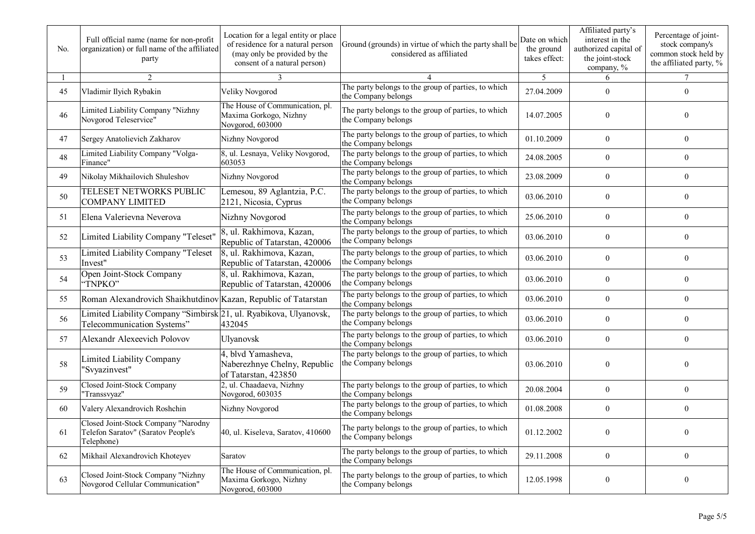| No. | Full official name (name for non-profit<br>organization) or full name of the affiliated<br>party | Location for a legal entity or place<br>of residence for a natural person<br>(may only be provided by the<br>consent of a natural person) | Ground (grounds) in virtue of which the party shall be<br>considered as affiliated | Date on which<br>the ground<br>takes effect: | Affiliated party's<br>interest in the<br>authorized capital of<br>the joint-stock<br>company, % | Percentage of joint-<br>stock company's<br>common stock held by<br>the affiliated party, % |
|-----|--------------------------------------------------------------------------------------------------|-------------------------------------------------------------------------------------------------------------------------------------------|------------------------------------------------------------------------------------|----------------------------------------------|-------------------------------------------------------------------------------------------------|--------------------------------------------------------------------------------------------|
|     | 2                                                                                                |                                                                                                                                           |                                                                                    | 5                                            | 6                                                                                               |                                                                                            |
| 45  | Vladimir Ilyich Rybakin                                                                          | Veliky Novgorod                                                                                                                           | The party belongs to the group of parties, to which<br>the Company belongs         | 27.04.2009                                   | $\overline{0}$                                                                                  | $\mathbf{0}$                                                                               |
| 46  | Limited Liability Company "Nizhny<br>Novgorod Teleservice"                                       | The House of Communication, pl.<br>Maxima Gorkogo, Nizhny<br>Novgorod, 603000                                                             | The party belongs to the group of parties, to which<br>the Company belongs         | 14.07.2005                                   | $\overline{0}$                                                                                  | $\overline{0}$                                                                             |
| 47  | Sergey Anatolievich Zakharov                                                                     | Nizhny Novgorod                                                                                                                           | The party belongs to the group of parties, to which<br>the Company belongs         | 01.10.2009                                   | $\overline{0}$                                                                                  | $\theta$                                                                                   |
| 48  | Limited Liability Company "Volga-<br>Finance"                                                    | 8, ul. Lesnaya, Veliky Novgorod,<br>603053                                                                                                | The party belongs to the group of parties, to which<br>the Company belongs         | 24.08.2005                                   | $\overline{0}$                                                                                  | $\overline{0}$                                                                             |
| 49  | Nikolay Mikhailovich Shuleshov                                                                   | Nizhny Novgorod                                                                                                                           | The party belongs to the group of parties, to which<br>the Company belongs         | 23.08.2009                                   | $\overline{0}$                                                                                  | $\mathbf{0}$                                                                               |
| 50  | TELESET NETWORKS PUBLIC<br><b>COMPANY LIMITED</b>                                                | Lemesou, 89 Aglantzia, P.C.<br>2121, Nicosia, Cyprus                                                                                      | The party belongs to the group of parties, to which<br>the Company belongs         | 03.06.2010                                   | $\overline{0}$                                                                                  | $\overline{0}$                                                                             |
| 51  | Elena Valerievna Neverova                                                                        | Nizhny Novgorod                                                                                                                           | The party belongs to the group of parties, to which<br>he Company belongs          | 25.06.2010                                   | $\overline{0}$                                                                                  | $\boldsymbol{0}$                                                                           |
| 52  | Limited Liability Company "Teleset"                                                              | 8, ul. Rakhimova, Kazan,<br>Republic of Tatarstan, 420006                                                                                 | The party belongs to the group of parties, to which<br>the Company belongs         | 03.06.2010                                   | $\overline{0}$                                                                                  | $\boldsymbol{0}$                                                                           |
| 53  | Limited Liability Company "Teleset<br>Invest"                                                    | 8, ul. Rakhimova, Kazan,<br>Republic of Tatarstan, 420006                                                                                 | The party belongs to the group of parties, to which<br>the Company belongs         | 03.06.2010                                   | $\overline{0}$                                                                                  | $\boldsymbol{0}$                                                                           |
| 54  | Open Joint-Stock Company<br>"TNPKO"                                                              | 8, ul. Rakhimova, Kazan,<br>Republic of Tatarstan, 420006                                                                                 | The party belongs to the group of parties, to which<br>the Company belongs         | 03.06.2010                                   | $\overline{0}$                                                                                  | $\boldsymbol{0}$                                                                           |
| 55  | Roman Alexandrovich Shaikhutdinov Kazan, Republic of Tatarstan                                   |                                                                                                                                           | The party belongs to the group of parties, to which<br>the Company belongs         | 03.06.2010                                   | $\overline{0}$                                                                                  | $\overline{0}$                                                                             |
| 56  | Limited Liability Company "Simbirsk 21, ul. Ryabikova, Ulyanovsk,<br>Telecommunication Systems"  | 432045                                                                                                                                    | The party belongs to the group of parties, to which<br>the Company belongs         | 03.06.2010                                   | $\overline{0}$                                                                                  | $\overline{0}$                                                                             |
| 57  | Alexandr Alexeevich Polovov                                                                      | Ulyanovsk                                                                                                                                 | The party belongs to the group of parties, to which<br>the Company belongs         | 03.06.2010                                   | $\overline{0}$                                                                                  | $\mathbf{0}$                                                                               |
| 58  | Limited Liability Company<br>"Svyazinvest"                                                       | 4, blvd Yamasheva,<br>Naberezhnye Chelny, Republic<br>of Tatarstan, 423850                                                                | The party belongs to the group of parties, to which<br>the Company belongs         | 03.06.2010                                   | $\overline{0}$                                                                                  | $\theta$                                                                                   |
| 59  | Closed Joint-Stock Company<br>'Transsvyaz"                                                       | , ul. Chaadaeva, Nizhny<br>Novgorod, 603035                                                                                               | The party belongs to the group of parties, to which<br>the Company belongs         | 20.08.2004                                   | $\overline{0}$                                                                                  | $\boldsymbol{0}$                                                                           |
| 60  | Valery Alexandrovich Roshchin                                                                    | Nizhny Novgorod                                                                                                                           | The party belongs to the group of parties, to which<br>the Company belongs         | 01.08.2008                                   | $\boldsymbol{0}$                                                                                | $\boldsymbol{0}$                                                                           |
| 61  | Closed Joint-Stock Company "Narodny<br>Telefon Saratov" (Saratov People's<br>Telephone)          | 40, ul. Kiseleva, Saratov, 410600                                                                                                         | The party belongs to the group of parties, to which<br>the Company belongs         | 01.12.2002                                   | $\overline{0}$                                                                                  | $\boldsymbol{0}$                                                                           |
| 62  | Mikhail Alexandrovich Khoteyev                                                                   | Saratov                                                                                                                                   | The party belongs to the group of parties, to which<br>the Company belongs         | 29.11.2008                                   | $\overline{0}$                                                                                  | $\boldsymbol{0}$                                                                           |
| 63  | Closed Joint-Stock Company "Nizhny<br>Novgorod Cellular Communication"                           | The House of Communication, pl.<br>Maxima Gorkogo, Nizhny<br>Novgorod, 603000                                                             | The party belongs to the group of parties, to which<br>the Company belongs         | 12.05.1998                                   | $\overline{0}$                                                                                  | $\boldsymbol{0}$                                                                           |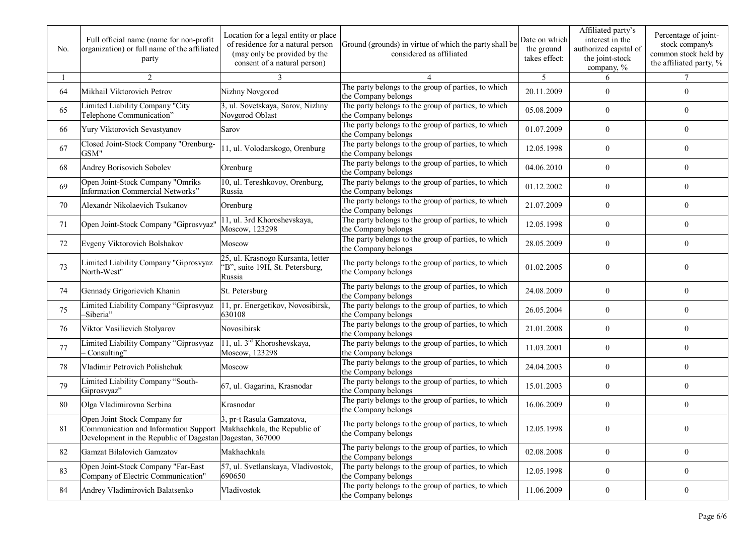| No. | Full official name (name for non-profit<br>organization) or full name of the affiliated<br>party                                                                 | Location for a legal entity or place<br>of residence for a natural person<br>(may only be provided by the<br>consent of a natural person) | Ground (grounds) in virtue of which the party shall be<br>considered as affiliated | Date on which<br>the ground<br>takes effect: | Affiliated party's<br>interest in the<br>authorized capital of<br>the joint-stock<br>company, % | Percentage of joint-<br>stock company's<br>common stock held by<br>the affiliated party, % |
|-----|------------------------------------------------------------------------------------------------------------------------------------------------------------------|-------------------------------------------------------------------------------------------------------------------------------------------|------------------------------------------------------------------------------------|----------------------------------------------|-------------------------------------------------------------------------------------------------|--------------------------------------------------------------------------------------------|
|     | $\overline{2}$                                                                                                                                                   | 3                                                                                                                                         |                                                                                    | 5                                            | 6                                                                                               | $\tau$                                                                                     |
| 64  | Mikhail Viktorovich Petrov                                                                                                                                       | Nizhny Novgorod                                                                                                                           | The party belongs to the group of parties, to which<br>the Company belongs         | 20.11.2009                                   | $\overline{0}$                                                                                  | $\overline{0}$                                                                             |
| 65  | Limited Liability Company "City<br>Telephone Communication"                                                                                                      | 3, ul. Sovetskaya, Sarov, Nizhny<br>Novgorod Oblast                                                                                       | The party belongs to the group of parties, to which<br>the Company belongs         | 05.08.2009                                   | $\overline{0}$                                                                                  | 0                                                                                          |
| 66  | Yury Viktorovich Sevastyanov                                                                                                                                     | Sarov                                                                                                                                     | The party belongs to the group of parties, to which<br>the Company belongs         | 01.07.2009                                   | $\overline{0}$                                                                                  | 0                                                                                          |
| 67  | Closed Joint-Stock Company "Orenburg-<br>GSM"                                                                                                                    | 11, ul. Volodarskogo, Orenburg                                                                                                            | The party belongs to the group of parties, to which<br>the Company belongs         | 12.05.1998                                   | $\overline{0}$                                                                                  | 0                                                                                          |
| 68  | Andrey Borisovich Sobolev                                                                                                                                        | Orenburg                                                                                                                                  | The party belongs to the group of parties, to which<br>the Company belongs         | 04.06.2010                                   | $\overline{0}$                                                                                  | $\overline{0}$                                                                             |
| 69  | Open Joint-Stock Company "Omriks<br>Information Commercial Networks"                                                                                             | 10, ul. Tereshkovoy, Orenburg,<br>Russia                                                                                                  | The party belongs to the group of parties, to which<br>the Company belongs         | 01.12.2002                                   | $\overline{0}$                                                                                  | 0                                                                                          |
| 70  | Alexandr Nikolaevich Tsukanov                                                                                                                                    | Orenburg                                                                                                                                  | The party belongs to the group of parties, to which<br>the Company belongs         | 21.07.2009                                   | $\mathbf{0}$                                                                                    | $\overline{0}$                                                                             |
| 71  | Open Joint-Stock Company "Giprosvyaz'                                                                                                                            | 11, ul. 3rd Khoroshevskaya,<br>Moscow, 123298                                                                                             | The party belongs to the group of parties, to which<br>the Company belongs         | 12.05.1998                                   | $\boldsymbol{0}$                                                                                | $\mathbf{0}$                                                                               |
| 72  | Evgeny Viktorovich Bolshakov                                                                                                                                     | Moscow                                                                                                                                    | The party belongs to the group of parties, to which<br>the Company belongs         | 28.05.2009                                   | $\theta$                                                                                        | $\theta$                                                                                   |
| 73  | Limited Liability Company "Giprosvyaz<br>North-West"                                                                                                             | 25, ul. Krasnogo Kursanta, letter<br>"B", suite 19H, St. Petersburg,<br>Russia                                                            | The party belongs to the group of parties, to which<br>the Company belongs         | 01.02.2005                                   | $\mathbf{0}$                                                                                    | 0                                                                                          |
| 74  | Gennady Grigorievich Khanin                                                                                                                                      | St. Petersburg                                                                                                                            | The party belongs to the group of parties, to which<br>the Company belongs         | 24.08.2009                                   | $\overline{0}$                                                                                  | 0                                                                                          |
| 75  | Limited Liability Company "Giprosvyaz<br>-Siberia"                                                                                                               | 11, pr. Energetikov, Novosibirsk,<br>630108                                                                                               | The party belongs to the group of parties, to which<br>the Company belongs         | 26.05.2004                                   | $\overline{0}$                                                                                  | $\overline{0}$                                                                             |
| 76  | Viktor Vasilievich Stolyarov                                                                                                                                     | Novosibirsk                                                                                                                               | The party belongs to the group of parties, to which<br>the Company belongs         | 21.01.2008                                   | $\overline{0}$                                                                                  | $\overline{0}$                                                                             |
| 77  | Limited Liability Company "Giprosvyaz<br>Consulting"                                                                                                             | 11, ul. 3 <sup>rd</sup> Khoroshevskaya,<br>Moscow, 123298                                                                                 | The party belongs to the group of parties, to which<br>the Company belongs         | 11.03.2001                                   | $\overline{0}$                                                                                  | $\boldsymbol{0}$                                                                           |
| 78  | Vladimir Petrovich Polishchuk                                                                                                                                    | Moscow                                                                                                                                    | The party belongs to the group of parties, to which<br>the Company belongs         | 24.04.2003                                   | $\mathbf{0}$                                                                                    | $\overline{0}$                                                                             |
| 79  | Limited Liability Company "South-<br>Giprosvyaz"                                                                                                                 | 67, ul. Gagarina, Krasnodar                                                                                                               | The party belongs to the group of parties, to which<br>the Company belongs         | 15.01.2003                                   | $\overline{0}$                                                                                  | $\mathbf{0}$                                                                               |
| 80  | Olga Vladimirovna Serbina                                                                                                                                        | Krasnodar                                                                                                                                 | The party belongs to the group of parties, to which<br>the Company belongs         | 16.06.2009                                   | $\overline{0}$                                                                                  | $\mathbf{0}$                                                                               |
| 81  | Open Joint Stock Company for<br>Communication and Information Support   Makhachkala, the Republic of<br>Development in the Republic of Dagestan Dagestan, 367000 | 3, pr-t Rasula Gamzatova,                                                                                                                 | The party belongs to the group of parties, to which<br>the Company belongs         | 12.05.1998                                   | $\theta$                                                                                        | $\theta$                                                                                   |
| 82  | Gamzat Bilalovich Gamzatov                                                                                                                                       | Makhachkala                                                                                                                               | The party belongs to the group of parties, to which<br>the Company belongs         | 02.08.2008                                   | $\boldsymbol{0}$                                                                                | $\boldsymbol{0}$                                                                           |
| 83  | Open Joint-Stock Company "Far-East<br>Company of Electric Communication"                                                                                         | 57, ul. Svetlanskaya, Vladivostok,<br>690650                                                                                              | The party belongs to the group of parties, to which<br>the Company belongs         | 12.05.1998                                   | $\overline{0}$                                                                                  | $\boldsymbol{0}$                                                                           |
| 84  | Andrey Vladimirovich Balatsenko                                                                                                                                  | Vladivostok                                                                                                                               | The party belongs to the group of parties, to which<br>the Company belongs         | 11.06.2009                                   | $\boldsymbol{0}$                                                                                | $\boldsymbol{0}$                                                                           |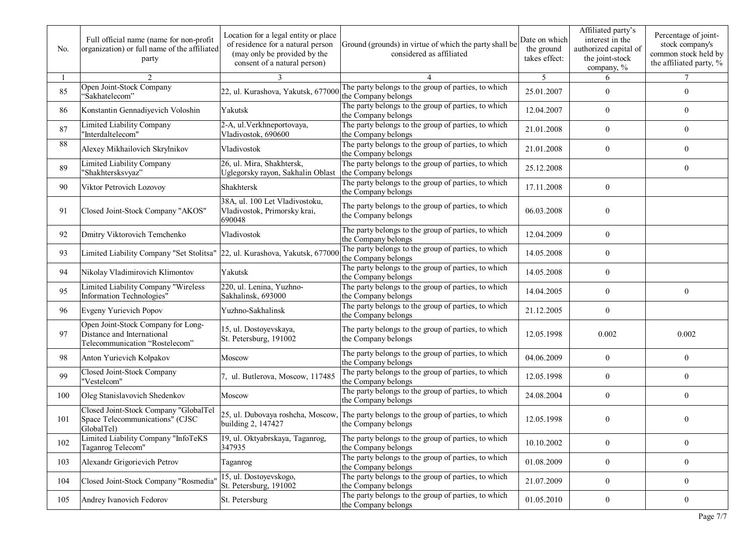| No. | Full official name (name for non-profit<br>organization) or full name of the affiliated<br>party   | Location for a legal entity or place<br>of residence for a natural person<br>(may only be provided by the<br>consent of a natural person) | Ground (grounds) in virtue of which the party shall be<br>considered as affiliated                           | Date on which<br>the ground<br>takes effect: | Affiliated party's<br>interest in the<br>authorized capital of<br>the joint-stock<br>company, % | Percentage of joint-<br>stock company's<br>common stock held by<br>the affiliated party, % |
|-----|----------------------------------------------------------------------------------------------------|-------------------------------------------------------------------------------------------------------------------------------------------|--------------------------------------------------------------------------------------------------------------|----------------------------------------------|-------------------------------------------------------------------------------------------------|--------------------------------------------------------------------------------------------|
|     | $\overline{2}$                                                                                     | 3                                                                                                                                         |                                                                                                              | 5                                            | 6                                                                                               | $\tau$                                                                                     |
| 85  | Open Joint-Stock Company<br>"Sakhatelecom"                                                         | 22, ul. Kurashova, Yakutsk, 677000                                                                                                        | The party belongs to the group of parties, to which<br>the Company belongs                                   | 25.01.2007                                   | $\overline{0}$                                                                                  | $\overline{0}$                                                                             |
| 86  | Konstantin Gennadiyevich Voloshin                                                                  | Yakutsk                                                                                                                                   | The party belongs to the group of parties, to which<br>the Company belongs                                   | 12.04.2007                                   | $\boldsymbol{0}$                                                                                | 0                                                                                          |
| 87  | Limited Liability Company<br>"Interdaltelecom"                                                     | 2-A, ul. Verkhneportovaya,<br>Vladivostok, 690600                                                                                         | The party belongs to the group of parties, to which<br>the Company belongs                                   | 21.01.2008                                   | $\overline{0}$                                                                                  | $\boldsymbol{0}$                                                                           |
| 88  | Alexey Mikhailovich Skrylnikov                                                                     | Vladivostok                                                                                                                               | The party belongs to the group of parties, to which<br>the Company belongs                                   | 21.01.2008                                   | $\boldsymbol{0}$                                                                                | $\overline{0}$                                                                             |
| 89  | Limited Liability Company<br>"Shakhtersksvyaz"                                                     | 26, ul. Mira, Shakhtersk,<br>Uglegorsky rayon, Sakhalin Oblast                                                                            | The party belongs to the group of parties, to which<br>the Company belongs                                   | 25.12.2008                                   |                                                                                                 | $\overline{0}$                                                                             |
| 90  | Viktor Petrovich Lozovoy                                                                           | Shakhtersk                                                                                                                                | The party belongs to the group of parties, to which<br>the Company belongs                                   | 17.11.2008                                   | $\overline{0}$                                                                                  |                                                                                            |
| 91  | Closed Joint-Stock Company "AKOS"                                                                  | 38A, ul. 100 Let Vladivostoku,<br>Vladivostok, Primorsky krai,<br>690048                                                                  | The party belongs to the group of parties, to which<br>the Company belongs                                   | 06.03.2008                                   | $\mathbf{0}$                                                                                    |                                                                                            |
| 92  | Dmitry Viktorovich Temchenko                                                                       | Vladivostok                                                                                                                               | The party belongs to the group of parties, to which<br>the Company belongs                                   | 12.04.2009                                   | $\overline{0}$                                                                                  |                                                                                            |
| 93  | Limited Liability Company "Set Stolitsa"                                                           | 22, ul. Kurashova, Yakutsk, 677000                                                                                                        | The party belongs to the group of parties, to which<br>the Company belongs                                   | 14.05.2008                                   | $\overline{0}$                                                                                  |                                                                                            |
| 94  | Nikolay Vladimirovich Klimontov                                                                    | Yakutsk                                                                                                                                   | The party belongs to the group of parties, to which<br>the Company belongs                                   | 14.05.2008                                   | $\overline{0}$                                                                                  |                                                                                            |
| 95  | Limited Liability Company "Wireless<br>Information Technologies"                                   | 220, ul. Lenina, Yuzhno-<br>Sakhalinsk, 693000                                                                                            | The party belongs to the group of parties, to which<br>the Company belongs                                   | 14.04.2005                                   | $\overline{0}$                                                                                  | $\mathbf{0}$                                                                               |
| 96  | Evgeny Yurievich Popov                                                                             | Yuzhno-Sakhalinsk                                                                                                                         | The party belongs to the group of parties, to which<br>the Company belongs                                   | 21.12.2005                                   | $\boldsymbol{0}$                                                                                |                                                                                            |
| 97  | Open Joint-Stock Company for Long-<br>Distance and International<br>Telecommunication "Rostelecom" | 15, ul. Dostoyevskaya,<br>St. Petersburg, 191002                                                                                          | The party belongs to the group of parties, to which<br>the Company belongs                                   | 12.05.1998                                   | 0.002                                                                                           | 0.002                                                                                      |
| 98  | Anton Yurievich Kolpakov                                                                           | Moscow                                                                                                                                    | The party belongs to the group of parties, to which<br>the Company belongs                                   | 04.06.2009                                   | $\boldsymbol{0}$                                                                                | $\boldsymbol{0}$                                                                           |
| 99  | Closed Joint-Stock Company<br>"Vestelcom"                                                          | 7, ul. Butlerova, Moscow, 117485                                                                                                          | The party belongs to the group of parties, to which<br>the Company belongs                                   | 12.05.1998                                   | $\boldsymbol{0}$                                                                                | 0                                                                                          |
| 100 | Oleg Stanislavovich Shedenkov                                                                      | Moscow                                                                                                                                    | The party belongs to the group of parties, to which<br>the Company belongs                                   | 24.08.2004                                   | $\boldsymbol{0}$                                                                                | 0                                                                                          |
| 101 | Closed Joint-Stock Company "GlobalTel<br>Space Telecommunications" (CJSC<br>GlobalTel)             | building 2, 147427                                                                                                                        | 25, ul. Dubovaya roshcha, Moscow, The party belongs to the group of parties, to which<br>the Company belongs | 12.05.1998                                   | $\mathbf{0}$                                                                                    | 0                                                                                          |
| 102 | Limited Liability Company "InfoTeKS<br>Taganrog Telecom"                                           | 19, ul. Oktyabrskaya, Taganrog,<br>347935                                                                                                 | The party belongs to the group of parties, to which<br>the Company belongs                                   | 10.10.2002                                   | $\boldsymbol{0}$                                                                                | $\boldsymbol{0}$                                                                           |
| 103 | Alexandr Grigorievich Petrov                                                                       | Taganrog                                                                                                                                  | The party belongs to the group of parties, to which<br>the Company belongs                                   | 01.08.2009                                   | $\overline{0}$                                                                                  | $\overline{0}$                                                                             |
| 104 | Closed Joint-Stock Company "Rosmedia"                                                              | 15, ul. Dostoyevskogo,<br>St. Petersburg, 191002                                                                                          | The party belongs to the group of parties, to which<br>the Company belongs                                   | 21.07.2009                                   | $\overline{0}$                                                                                  | $\overline{0}$                                                                             |
| 105 | Andrey Ivanovich Fedorov                                                                           | St. Petersburg                                                                                                                            | The party belongs to the group of parties, to which<br>the Company belongs                                   | 01.05.2010                                   | $\overline{0}$                                                                                  | $\bf{0}$                                                                                   |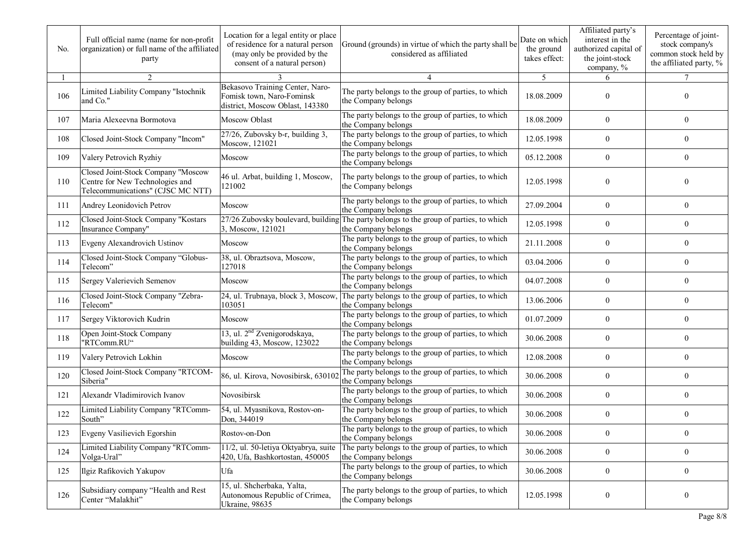| No. | Full official name (name for non-profit<br>organization) or full name of the affiliated<br>party           | Location for a legal entity or place<br>of residence for a natural person<br>(may only be provided by the<br>consent of a natural person) | Ground (grounds) in virtue of which the party shall be<br>considered as affiliated                            | Date on which<br>the ground<br>takes effect: | Affiliated party's<br>interest in the<br>authorized capital of<br>the joint-stock<br>company, % | Percentage of joint-<br>stock company's<br>common stock held by<br>the affiliated party, % |
|-----|------------------------------------------------------------------------------------------------------------|-------------------------------------------------------------------------------------------------------------------------------------------|---------------------------------------------------------------------------------------------------------------|----------------------------------------------|-------------------------------------------------------------------------------------------------|--------------------------------------------------------------------------------------------|
|     | 2                                                                                                          |                                                                                                                                           | 4                                                                                                             | 5                                            | 6                                                                                               |                                                                                            |
| 106 | Limited Liability Company "Istochnik<br>and Co."                                                           | Bekasovo Training Center, Naro-<br>Fomisk town, Naro-Fominsk<br>district, Moscow Oblast, 143380                                           | The party belongs to the group of parties, to which<br>the Company belongs                                    | 18.08.2009                                   | $\theta$                                                                                        | $\Omega$                                                                                   |
| 107 | Maria Alexeevna Bormotova                                                                                  | Moscow Oblast                                                                                                                             | The party belongs to the group of parties, to which<br>the Company belongs                                    | 18.08.2009                                   | $\theta$                                                                                        | $\overline{0}$                                                                             |
| 108 | Closed Joint-Stock Company "Incom"                                                                         | 27/26, Zubovsky b-r, building 3,<br>Moscow, 121021                                                                                        | The party belongs to the group of parties, to which<br>the Company belongs                                    | 12.05.1998                                   | $\mathbf{0}$                                                                                    | $\theta$                                                                                   |
| 109 | Valery Petrovich Ryzhiy                                                                                    | Moscow                                                                                                                                    | The party belongs to the group of parties, to which<br>the Company belongs                                    | 05.12.2008                                   | $\theta$                                                                                        | $\theta$                                                                                   |
| 110 | Closed Joint-Stock Company "Moscow<br>Centre for New Technologies and<br>Telecommunications" (CJSC MC NTT) | 46 ul. Arbat, building 1, Moscow,<br>121002                                                                                               | The party belongs to the group of parties, to which<br>the Company belongs                                    | 12.05.1998                                   | $\theta$                                                                                        | $\theta$                                                                                   |
| 111 | Andrey Leonidovich Petrov                                                                                  | Moscow                                                                                                                                    | The party belongs to the group of parties, to which<br>the Company belongs                                    | 27.09.2004                                   | $\theta$                                                                                        | $\overline{0}$                                                                             |
| 112 | Closed Joint-Stock Company "Kostars<br>Insurance Company"                                                  | 3, Moscow, 121021                                                                                                                         | 27/26 Zubovsky boulevard, building The party belongs to the group of parties, to which<br>the Company belongs | 12.05.1998                                   | $\mathbf{0}$                                                                                    | $\theta$                                                                                   |
| 113 | Evgeny Alexandrovich Ustinov                                                                               | Moscow                                                                                                                                    | The party belongs to the group of parties, to which<br>the Company belongs                                    | 21.11.2008                                   | $\theta$                                                                                        | $\theta$                                                                                   |
| 114 | Closed Joint-Stock Company "Globus-<br>Telecom"                                                            | 38, ul. Obraztsova, Moscow,<br>127018                                                                                                     | The party belongs to the group of parties, to which<br>the Company belongs                                    | 03.04.2006                                   | $\theta$                                                                                        | $\theta$                                                                                   |
| 115 | Sergey Valerievich Semenov                                                                                 | Moscow                                                                                                                                    | The party belongs to the group of parties, to which<br>the Company belongs                                    | 04.07.2008                                   | $\mathbf{0}$                                                                                    | $\overline{0}$                                                                             |
| 116 | Closed Joint-Stock Company "Zebra-<br>Telecom"                                                             | 24, ul. Trubnaya, block 3, Moscow,<br>103051                                                                                              | The party belongs to the group of parties, to which<br>the Company belongs                                    | 13.06.2006                                   | $\mathbf{0}$                                                                                    | $\overline{0}$                                                                             |
| 117 | Sergey Viktorovich Kudrin                                                                                  | Moscow                                                                                                                                    | The party belongs to the group of parties, to which<br>the Company belongs                                    | 01.07.2009                                   | $\theta$                                                                                        | $\overline{0}$                                                                             |
| 118 | Open Joint-Stock Company<br>"RTComm.RU"                                                                    | 13, ul. 2 <sup>nd</sup> Zvenigorodskaya,<br>building 43, Moscow, 123022                                                                   | The party belongs to the group of parties, to which<br>the Company belongs                                    | 30.06.2008                                   | $\theta$                                                                                        | $\theta$                                                                                   |
| 119 | Valery Petrovich Lokhin                                                                                    | Moscow                                                                                                                                    | The party belongs to the group of parties, to which<br>the Company belongs                                    | 12.08.2008                                   | $\mathbf{0}$                                                                                    | $\overline{0}$                                                                             |
| 120 | Closed Joint-Stock Company "RTCOM-<br>Siberia"                                                             | 86, ul. Kirova, Novosibirsk, 630102                                                                                                       | The party belongs to the group of parties, to which<br>the Company belongs                                    | 30.06.2008                                   | $\mathbf{0}$                                                                                    | $\mathbf{0}$                                                                               |
| 121 | Alexandr Vladimirovich Ivanov                                                                              | Novosibirsk                                                                                                                               | The party belongs to the group of parties, to which<br>the Company belongs                                    | 30.06.2008                                   | $\mathbf{0}$                                                                                    | $\overline{0}$                                                                             |
| 122 | Limited Liability Company "RTComm-<br>South"                                                               | 54, ul. Myasnikova, Rostov-on-<br>Don, 344019                                                                                             | The party belongs to the group of parties, to which<br>the Company belongs                                    | 30.06.2008                                   | $\mathbf{0}$                                                                                    | $\theta$                                                                                   |
| 123 | Evgeny Vasilievich Egorshin                                                                                | Rostov-on-Don                                                                                                                             | The party belongs to the group of parties, to which<br>the Company belongs                                    | 30.06.2008                                   | $\boldsymbol{0}$                                                                                | $\boldsymbol{0}$                                                                           |
| 124 | <b>Limited Liability Company "RTComm-</b><br>Volga-Ural"                                                   | 11/2, ul. 50-letiya Oktyabrya, suite<br>420, Ufa, Bashkortostan, 450005                                                                   | The party belongs to the group of parties, to which<br>the Company belongs                                    | 30.06.2008                                   | $\boldsymbol{0}$                                                                                | $\overline{0}$                                                                             |
| 125 | Ilgiz Rafikovich Yakupov                                                                                   | Ufa                                                                                                                                       | The party belongs to the group of parties, to which<br>the Company belongs                                    | 30.06.2008                                   | $\overline{0}$                                                                                  | $\bf{0}$                                                                                   |
| 126 | Subsidiary company "Health and Rest<br>Center "Malakhit"                                                   | 15, ul. Shcherbaka, Yalta,<br>Autonomous Republic of Crimea,<br>Ukraine, 98635                                                            | The party belongs to the group of parties, to which<br>the Company belongs                                    | 12.05.1998                                   | $\boldsymbol{0}$                                                                                | $\bf{0}$                                                                                   |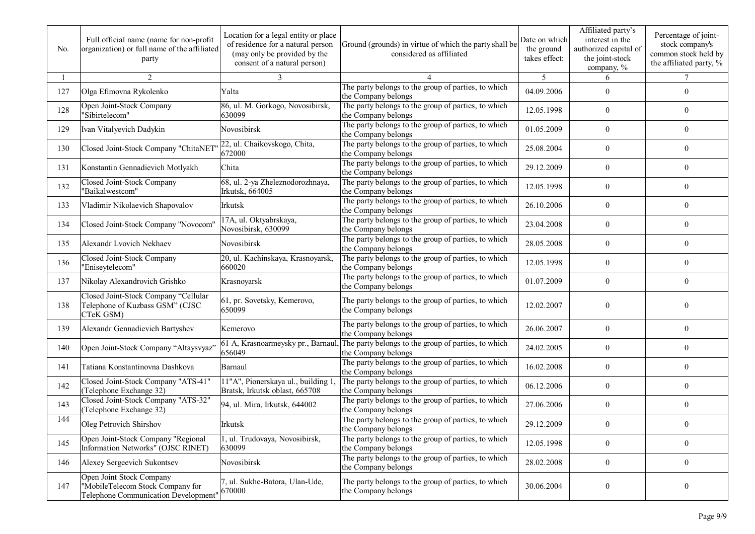| No. | Full official name (name for non-profit<br>organization) or full name of the affiliated<br>party     | Location for a legal entity or place<br>of residence for a natural person<br>(may only be provided by the<br>consent of a natural person) | Ground (grounds) in virtue of which the party shall be<br>considered as affiliated | Date on which<br>the ground<br>takes effect: | Affiliated party's<br>interest in the<br>authorized capital of<br>the joint-stock<br>company, % | Percentage of joint-<br>stock company's<br>common stock held by<br>the affiliated party, % |
|-----|------------------------------------------------------------------------------------------------------|-------------------------------------------------------------------------------------------------------------------------------------------|------------------------------------------------------------------------------------|----------------------------------------------|-------------------------------------------------------------------------------------------------|--------------------------------------------------------------------------------------------|
|     | 2                                                                                                    | 3                                                                                                                                         |                                                                                    | 5                                            | 6                                                                                               | $\tau$                                                                                     |
| 127 | Olga Efimovna Rykolenko                                                                              | Yalta                                                                                                                                     | The party belongs to the group of parties, to which<br>the Company belongs         | 04.09.2006                                   | $\theta$                                                                                        | $\overline{0}$                                                                             |
| 128 | Open Joint-Stock Company<br>"Sibirtelecom"                                                           | 86, ul. M. Gorkogo, Novosibirsk,<br>630099                                                                                                | The party belongs to the group of parties, to which<br>the Company belongs         | 12.05.1998                                   | $\overline{0}$                                                                                  | 0                                                                                          |
| 129 | Ivan Vitalyevich Dadykin                                                                             | Novosibirsk                                                                                                                               | The party belongs to the group of parties, to which<br>the Company belongs         | 01.05.2009                                   | $\theta$                                                                                        | $\boldsymbol{0}$                                                                           |
| 130 | Closed Joint-Stock Company "ChitaNET                                                                 | 22, ul. Chaikovskogo, Chita,<br>672000                                                                                                    | The party belongs to the group of parties, to which<br>the Company belongs         | 25.08.2004                                   | $\overline{0}$                                                                                  | $\overline{0}$                                                                             |
| 131 | Konstantin Gennadievich Motlyakh                                                                     | Chita                                                                                                                                     | The party belongs to the group of parties, to which<br>the Company belongs         | 29.12.2009                                   | $\overline{0}$                                                                                  | $\overline{0}$                                                                             |
| 132 | Closed Joint-Stock Company<br>"Baikalwestcom"                                                        | 68, ul. 2-ya Zheleznodorozhnaya,<br>Irkutsk, 664005                                                                                       | The party belongs to the group of parties, to which<br>the Company belongs         | 12.05.1998                                   | $\overline{0}$                                                                                  | $\mathbf{0}$                                                                               |
| 133 | Vladimir Nikolaevich Shapovalov                                                                      | Irkutsk                                                                                                                                   | The party belongs to the group of parties, to which<br>the Company belongs         | 26.10.2006                                   | $\overline{0}$                                                                                  | $\boldsymbol{0}$                                                                           |
| 134 | Closed Joint-Stock Company "Novocom"                                                                 | 17A, ul. Oktyabrskaya,<br>Novosibirsk, 630099                                                                                             | The party belongs to the group of parties, to which<br>the Company belongs         | 23.04.2008                                   | $\overline{0}$                                                                                  | $\mathbf{0}$                                                                               |
| 135 | Alexandr Lvovich Nekhaev                                                                             | Novosibirsk                                                                                                                               | The party belongs to the group of parties, to which<br>the Company belongs         | 28.05.2008                                   | $\overline{0}$                                                                                  | $\overline{0}$                                                                             |
| 136 | Closed Joint-Stock Company<br>"Eniseytelecom"                                                        | 20, ul. Kachinskaya, Krasnoyarsk,<br>660020                                                                                               | The party belongs to the group of parties, to which<br>the Company belongs         | 12.05.1998                                   | $\overline{0}$                                                                                  | $\overline{0}$                                                                             |
| 137 | Nikolay Alexandrovich Grishko                                                                        | Krasnoyarsk                                                                                                                               | The party belongs to the group of parties, to which<br>the Company belongs         | 01.07.2009                                   | $\overline{0}$                                                                                  | $\overline{0}$                                                                             |
| 138 | Closed Joint-Stock Company "Cellular<br>Telephone of Kuzbass GSM" (CJSC<br>CTeK GSM)                 | 61, pr. Sovetsky, Kemerovo,<br>650099                                                                                                     | The party belongs to the group of parties, to which<br>the Company belongs         | 12.02.2007                                   | $\theta$                                                                                        | 0                                                                                          |
| 139 | Alexandr Gennadievich Bartyshev                                                                      | Kemerovo                                                                                                                                  | The party belongs to the group of parties, to which<br>the Company belongs         | 26.06.2007                                   | $\overline{0}$                                                                                  | $\overline{0}$                                                                             |
| 140 | Open Joint-Stock Company "Altaysvyaz'                                                                | 61 A, Krasnoarmeysky pr., Barnaul,<br>656049                                                                                              | The party belongs to the group of parties, to which<br>the Company belongs         | 24.02.2005                                   | $\overline{0}$                                                                                  | $\overline{0}$                                                                             |
| 141 | Tatiana Konstantinovna Dashkova                                                                      | Barnaul                                                                                                                                   | The party belongs to the group of parties, to which<br>the Company belongs         | 16.02.2008                                   | $\overline{0}$                                                                                  | $\boldsymbol{0}$                                                                           |
| 142 | Closed Joint-Stock Company "ATS-41"<br>(Telephone Exchange 32)                                       | 11"A", Pionerskaya ul., building 1.<br>Bratsk, Irkutsk oblast, 665708                                                                     | The party belongs to the group of parties, to which<br>the Company belongs         | 06.12.2006                                   | $\overline{0}$                                                                                  | $\overline{0}$                                                                             |
| 143 | Closed Joint-Stock Company "ATS-32"<br>(Telephone Exchange 32)                                       | 94, ul. Mira, Irkutsk, 644002                                                                                                             | The party belongs to the group of parties, to which<br>the Company belongs         | 27.06.2006                                   | $\theta$                                                                                        | $\overline{0}$                                                                             |
| 144 | Oleg Petrovich Shirshov                                                                              | <b>Irkutsk</b>                                                                                                                            | The party belongs to the group of parties, to which<br>the Company belongs         | 29.12.2009                                   | $\overline{0}$                                                                                  | $\overline{0}$                                                                             |
| 145 | Open Joint-Stock Company "Regional<br>Information Networks" (OJSC RINET)                             | 1, ul. Trudovaya, Novosibirsk,<br>630099                                                                                                  | The party belongs to the group of parties, to which<br>the Company belongs         | 12.05.1998                                   | $\boldsymbol{0}$                                                                                | $\boldsymbol{0}$                                                                           |
| 146 | Alexey Sergeevich Sukontsev                                                                          | Novosibirsk                                                                                                                               | The party belongs to the group of parties, to which<br>the Company belongs         | 28.02.2008                                   | $\overline{0}$                                                                                  | $\bf{0}$                                                                                   |
| 147 | Open Joint Stock Company<br>"MobileTelecom Stock Company for<br>Telephone Communication Development" | 7, ul. Sukhe-Batora, Ulan-Ude,<br>670000                                                                                                  | The party belongs to the group of parties, to which<br>the Company belongs         | 30.06.2004                                   | $\boldsymbol{0}$                                                                                | $\boldsymbol{0}$                                                                           |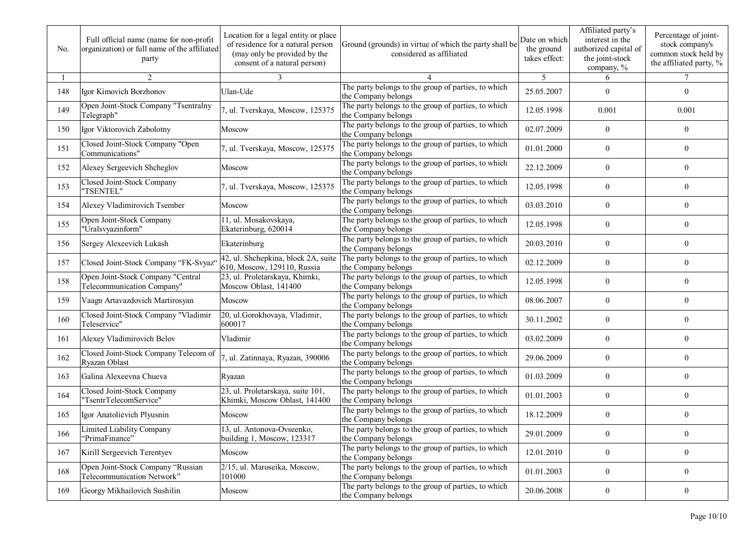| No. | Full official name (name for non-profit<br>organization) or full name of the affiliated<br>party | Location for a legal entity or place<br>of residence for a natural person<br>(may only be provided by the<br>consent of a natural person) | Ground (grounds) in virtue of which the party shall be<br>considered as affiliated | Date on which<br>the ground<br>takes effect: | Affiliated party's<br>interest in the<br>authorized capital of<br>the joint-stock<br>company, % | Percentage of joint-<br>stock company's<br>common stock held by<br>the affiliated party, % |
|-----|--------------------------------------------------------------------------------------------------|-------------------------------------------------------------------------------------------------------------------------------------------|------------------------------------------------------------------------------------|----------------------------------------------|-------------------------------------------------------------------------------------------------|--------------------------------------------------------------------------------------------|
|     | 2                                                                                                | 3                                                                                                                                         |                                                                                    | 5                                            | 6                                                                                               | $\tau$                                                                                     |
| 148 | Igor Kimovich Borzhonov                                                                          | Ulan-Ude                                                                                                                                  | The party belongs to the group of parties, to which<br>the Company belongs         | 25.05.2007                                   | $\overline{0}$                                                                                  | $\overline{0}$                                                                             |
| 149 | Open Joint-Stock Company "Tsentralny<br>Telegraph"                                               | , ul. Tverskaya, Moscow, 125375                                                                                                           | The party belongs to the group of parties, to which<br>the Company belongs         | 12.05.1998                                   | 0.001                                                                                           | 0.001                                                                                      |
| 150 | Igor Viktorovich Zabolotny                                                                       | Moscow                                                                                                                                    | The party belongs to the group of parties, to which<br>the Company belongs         | 02.07.2009                                   | $\overline{0}$                                                                                  | 0                                                                                          |
| 151 | Closed Joint-Stock Company "Open<br>Communications"                                              | 7, ul. Tverskaya, Moscow, 125375                                                                                                          | The party belongs to the group of parties, to which<br>the Company belongs         | 01.01.2000                                   | $\overline{0}$                                                                                  | 0                                                                                          |
| 152 | Alexey Sergeevich Shcheglov                                                                      | Moscow                                                                                                                                    | The party belongs to the group of parties, to which<br>the Company belongs         | 22.12.2009                                   | $\overline{0}$                                                                                  | $\overline{0}$                                                                             |
| 153 | Closed Joint-Stock Company<br>"TSENTEL"                                                          | 7, ul. Tverskaya, Moscow, 125375                                                                                                          | The party belongs to the group of parties, to which<br>the Company belongs         | 12.05.1998                                   | $\overline{0}$                                                                                  | $\overline{0}$                                                                             |
| 154 | Alexey Vladimirovich Tsember                                                                     | Moscow                                                                                                                                    | The party belongs to the group of parties, to which<br>the Company belongs         | 03.03.2010                                   | $\mathbf{0}$                                                                                    | $\mathbf{0}$                                                                               |
| 155 | Open Joint-Stock Company<br>"Uralsvyazinform"                                                    | 11, ul. Mosakovskaya,<br>Ekaterinburg, 620014                                                                                             | The party belongs to the group of parties, to which<br>the Company belongs         | 12.05.1998                                   | $\overline{0}$                                                                                  | $\overline{0}$                                                                             |
| 156 | Sergey Alexeevich Lukash                                                                         | Ekaterinburg                                                                                                                              | The party belongs to the group of parties, to which<br>the Company belongs         | 20.03.2010                                   | $\theta$                                                                                        | $\theta$                                                                                   |
| 157 | Closed Joint-Stock Company "FK-Svyaz"                                                            | 42, ul. Shchepkina, block 2A, suite<br>610, Moscow, 129110, Russia                                                                        | The party belongs to the group of parties, to which<br>the Company belongs         | 02.12.2009                                   | $\overline{0}$                                                                                  | $\theta$                                                                                   |
| 158 | Open Joint-Stock Company "Central<br>Telecommunication Company"                                  | 23, ul. Proletarskaya, Khimki,<br>Moscow Oblast, 141400                                                                                   | The party belongs to the group of parties, to which<br>the Company belongs         | 12.05.1998                                   | $\overline{0}$                                                                                  | $\boldsymbol{0}$                                                                           |
| 159 | Vaagn Artavazdovich Martirosyan                                                                  | Moscow                                                                                                                                    | The party belongs to the group of parties, to which<br>the Company belongs         | 08.06.2007                                   | $\overline{0}$                                                                                  | $\overline{0}$                                                                             |
| 160 | Closed Joint-Stock Company "Vladimir<br>Teleservice"                                             | 20, ul.Gorokhovaya, Vladimir,<br>600017                                                                                                   | The party belongs to the group of parties, to which<br>the Company belongs         | 30.11.2002                                   | $\theta$                                                                                        | $\overline{0}$                                                                             |
| 161 | Alexey Vladimirovich Belov                                                                       | Vladimir                                                                                                                                  | The party belongs to the group of parties, to which<br>the Company belongs         | 03.02.2009                                   | $\overline{0}$                                                                                  | $\overline{0}$                                                                             |
| 162 | Closed Joint-Stock Company Telecom of<br>Ryazan Oblast                                           | , ul. Zatinnaya, Ryazan, 390006                                                                                                           | The party belongs to the group of parties, to which<br>the Company belongs         | 29.06.2009                                   | $\overline{0}$                                                                                  | 0                                                                                          |
| 163 | Galina Alexeevna Chueva                                                                          | Ryazan                                                                                                                                    | The party belongs to the group of parties, to which<br>the Company belongs         | 01.03.2009                                   | $\theta$                                                                                        | $\overline{0}$                                                                             |
| 164 | Closed Joint-Stock Company<br>"TsentrTelecomService"                                             | 23, ul. Proletarskaya, suite 101,<br>Khimki, Moscow Oblast, 141400                                                                        | The party belongs to the group of parties, to which<br>the Company belongs         | 01.01.2003                                   | $\overline{0}$                                                                                  | $\overline{0}$                                                                             |
| 165 | Igor Anatolievich Plyusnin                                                                       | Moscow                                                                                                                                    | The party belongs to the group of parties, to which<br>the Company belongs         | 18.12.2009                                   | $\theta$                                                                                        | $\overline{0}$                                                                             |
| 166 | Limited Liability Company<br>'PrimaFinance"                                                      | 13, ul. Antonova-Ovseenko,<br>building 1, Moscow, 123317                                                                                  | The party belongs to the group of parties, to which<br>the Company belongs         | 29.01.2009                                   | $\boldsymbol{0}$                                                                                | $\boldsymbol{0}$                                                                           |
| 167 | Kirill Sergeevich Terentyev                                                                      | Moscow                                                                                                                                    | The party belongs to the group of parties, to which<br>the Company belongs         | 12.01.2010                                   | $\boldsymbol{0}$                                                                                | $\bf{0}$                                                                                   |
| 168 | Open Joint-Stock Company "Russian<br>Telecommunication Network"                                  | 2/15, ul. Maroseika, Moscow,<br>101000                                                                                                    | The party belongs to the group of parties, to which<br>the Company belongs         | 01.01.2003                                   | $\overline{0}$                                                                                  | $\overline{0}$                                                                             |
| 169 | Georgy Mikhailovich Sushilin                                                                     | Moscow                                                                                                                                    | The party belongs to the group of parties, to which<br>the Company belongs         | 20.06.2008                                   | $\boldsymbol{0}$                                                                                | $\boldsymbol{0}$                                                                           |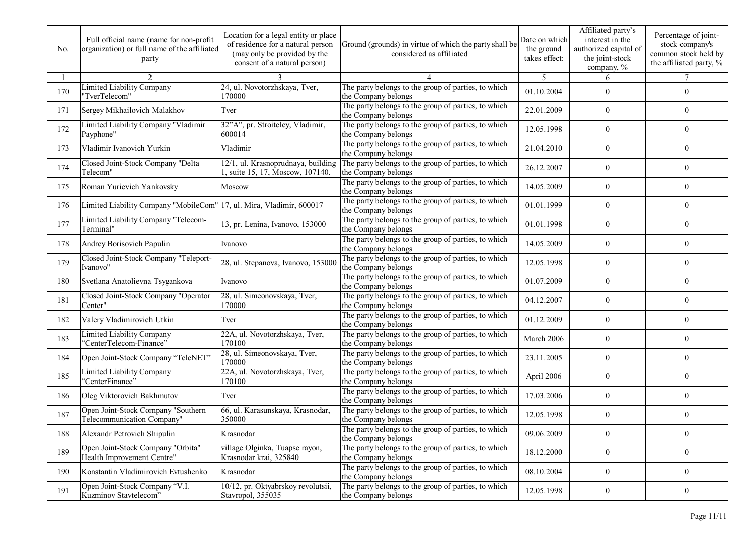| No. | Full official name (name for non-profit<br>organization) or full name of the affiliated<br>party | Location for a legal entity or place<br>of residence for a natural person<br>(may only be provided by the<br>consent of a natural person) | Ground (grounds) in virtue of which the party shall be<br>considered as affiliated | Date on which<br>the ground<br>takes effect: | Affiliated party's<br>interest in the<br>authorized capital of<br>the joint-stock<br>company, % | Percentage of joint-<br>stock company's<br>common stock held by<br>the affiliated party, % |
|-----|--------------------------------------------------------------------------------------------------|-------------------------------------------------------------------------------------------------------------------------------------------|------------------------------------------------------------------------------------|----------------------------------------------|-------------------------------------------------------------------------------------------------|--------------------------------------------------------------------------------------------|
|     | $\mathfrak{D}$                                                                                   |                                                                                                                                           |                                                                                    | $\overline{5}$                               | 6                                                                                               | $\tau$                                                                                     |
| 170 | <b>Limited Liability Company</b><br>"TverTelecom"                                                | 24, ul. Novotorzhskaya, Tver,<br>170000                                                                                                   | The party belongs to the group of parties, to which<br>the Company belongs         | 01.10.2004                                   | $\theta$                                                                                        | $\theta$                                                                                   |
| 171 | Sergey Mikhailovich Malakhov                                                                     | Tver                                                                                                                                      | The party belongs to the group of parties, to which<br>the Company belongs         | 22.01.2009                                   | $\overline{0}$                                                                                  | 0                                                                                          |
| 172 | Limited Liability Company "Vladimir<br>Payphone"                                                 | 32"A", pr. Stroiteley, Vladimir,<br>600014                                                                                                | The party belongs to the group of parties, to which<br>the Company belongs         | 12.05.1998                                   | $\theta$                                                                                        | $\overline{0}$                                                                             |
| 173 | Vladimir Ivanovich Yurkin                                                                        | Vladimir                                                                                                                                  | The party belongs to the group of parties, to which<br>the Company belongs         | 21.04.2010                                   | $\overline{0}$                                                                                  | $\mathbf{0}$                                                                               |
| 174 | Closed Joint-Stock Company "Delta<br>Telecom"                                                    | 12/1, ul. Krasnoprudnaya, building<br>1, suite 15, 17, Moscow, 107140.                                                                    | The party belongs to the group of parties, to which<br>the Company belongs         | 26.12.2007                                   | $\mathbf{0}$                                                                                    | $\overline{0}$                                                                             |
| 175 | Roman Yurievich Yankovsky                                                                        | Moscow                                                                                                                                    | The party belongs to the group of parties, to which<br>the Company belongs         | 14.05.2009                                   | $\overline{0}$                                                                                  | $\mathbf{0}$                                                                               |
| 176 | Limited Liability Company "MobileCom" 17, ul. Mira, Vladimir, 600017                             |                                                                                                                                           | The party belongs to the group of parties, to which<br>the Company belongs         | 01.01.1999                                   | $\overline{0}$                                                                                  | $\mathbf{0}$                                                                               |
| 177 | Limited Liability Company "Telecom-<br>Terminal"                                                 | 13, pr. Lenina, Ivanovo, 153000                                                                                                           | The party belongs to the group of parties, to which<br>the Company belongs         | 01.01.1998                                   | $\overline{0}$                                                                                  | $\theta$                                                                                   |
| 178 | Andrey Borisovich Papulin                                                                        | Ivanovo                                                                                                                                   | The party belongs to the group of parties, to which<br>the Company belongs         | 14.05.2009                                   | $\overline{0}$                                                                                  | $\mathbf{0}$                                                                               |
| 179 | Closed Joint-Stock Company "Teleport-<br>Ivanovo"                                                | 28, ul. Stepanova, Ivanovo, 153000                                                                                                        | The party belongs to the group of parties, to which<br>the Company belongs         | 12.05.1998                                   | $\overline{0}$                                                                                  | $\overline{0}$                                                                             |
| 180 | Svetlana Anatolievna Tsygankova                                                                  | Ivanovo                                                                                                                                   | The party belongs to the group of parties, to which<br>the Company belongs         | 01.07.2009                                   | $\theta$                                                                                        | $\overline{0}$                                                                             |
| 181 | Closed Joint-Stock Company "Operator<br>Center"                                                  | 28, ul. Simeonovskaya, Tver,<br>170000                                                                                                    | The party belongs to the group of parties, to which<br>the Company belongs         | 04.12.2007                                   | $\mathbf{0}$                                                                                    | $\overline{0}$                                                                             |
| 182 | Valery Vladimirovich Utkin                                                                       | Tver                                                                                                                                      | The party belongs to the group of parties, to which<br>the Company belongs         | 01.12.2009                                   | $\overline{0}$                                                                                  | $\overline{0}$                                                                             |
| 183 | <b>Limited Liability Company</b><br>"CenterTelecom-Finance"                                      | 22A, ul. Novotorzhskaya, Tver,<br>170100                                                                                                  | The party belongs to the group of parties, to which<br>the Company belongs         | March 2006                                   | $\overline{0}$                                                                                  | $\theta$                                                                                   |
| 184 | Open Joint-Stock Company "TeleNET"                                                               | 28, ul. Simeonovskaya, Tver,<br>170000                                                                                                    | The party belongs to the group of parties, to which<br>the Company belongs         | 23.11.2005                                   | $\overline{0}$                                                                                  | 0                                                                                          |
| 185 | <b>Limited Liability Company</b><br>"CenterFinance"                                              | 22A, ul. Novotorzhskaya, Tver,<br>170100                                                                                                  | The party belongs to the group of parties, to which<br>the Company belongs         | April 2006                                   | $\overline{0}$                                                                                  | 0                                                                                          |
| 186 | Oleg Viktorovich Bakhmutov                                                                       | Tver                                                                                                                                      | The party belongs to the group of parties, to which<br>the Company belongs         | 17.03.2006                                   | $\boldsymbol{0}$                                                                                | 0                                                                                          |
| 187 | Open Joint-Stock Company "Southern<br>Telecommunication Company"                                 | 66, ul. Karasunskaya, Krasnodar,<br>350000                                                                                                | The party belongs to the group of parties, to which<br>the Company belongs         | 12.05.1998                                   | $\theta$                                                                                        | $\overline{0}$                                                                             |
| 188 | Alexandr Petrovich Shipulin                                                                      | Krasnodar                                                                                                                                 | The party belongs to the group of parties, to which<br>the Company belongs         | 09.06.2009                                   | $\boldsymbol{0}$                                                                                | $\boldsymbol{0}$                                                                           |
| 189 | Open Joint-Stock Company "Orbita"<br>Health Improvement Centre"                                  | village Olginka, Tuapse rayon,<br>Krasnodar krai, 325840                                                                                  | The party belongs to the group of parties, to which<br>the Company belongs         | 18.12.2000                                   | $\boldsymbol{0}$                                                                                | $\boldsymbol{0}$                                                                           |
| 190 | Konstantin Vladimirovich Evtushenko                                                              | Krasnodar                                                                                                                                 | The party belongs to the group of parties, to which<br>the Company belongs         | 08.10.2004                                   | $\overline{0}$                                                                                  | $\overline{0}$                                                                             |
| 191 | Open Joint-Stock Company "V.I.<br>Kuzminov Stavtelecom"                                          | 10/12, pr. Oktyabrskoy revolutsii,<br>Stavropol, 355035                                                                                   | The party belongs to the group of parties, to which<br>the Company belongs         | 12.05.1998                                   | $\boldsymbol{0}$                                                                                | $\boldsymbol{0}$                                                                           |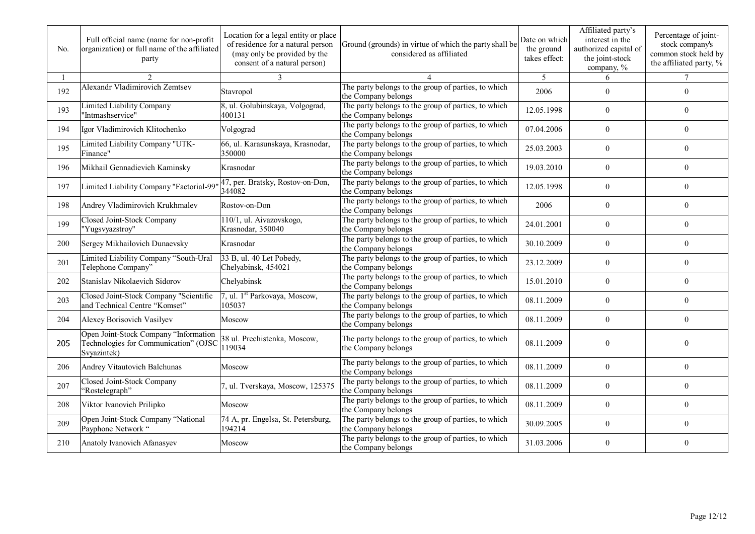| No. | Full official name (name for non-profit<br>organization) or full name of the affiliated<br>party | Location for a legal entity or place<br>of residence for a natural person<br>(may only be provided by the<br>consent of a natural person) | Ground (grounds) in virtue of which the party shall be<br>considered as affiliated | Date on which<br>the ground<br>takes effect: | Affiliated party's<br>interest in the<br>authorized capital of<br>the joint-stock<br>company, % | Percentage of joint-<br>stock company's<br>common stock held by<br>the affiliated party, % |
|-----|--------------------------------------------------------------------------------------------------|-------------------------------------------------------------------------------------------------------------------------------------------|------------------------------------------------------------------------------------|----------------------------------------------|-------------------------------------------------------------------------------------------------|--------------------------------------------------------------------------------------------|
|     | 2                                                                                                | 3                                                                                                                                         |                                                                                    | 5                                            | 6                                                                                               |                                                                                            |
| 192 | Alexandr Vladimirovich Zemtsev                                                                   | Stavropol                                                                                                                                 | The party belongs to the group of parties, to which<br>the Company belongs         | 2006                                         | $\theta$                                                                                        | $\overline{0}$                                                                             |
| 193 | Limited Liability Company<br>'Intmashservice"                                                    | 8, ul. Golubinskaya, Volgograd,<br>400131                                                                                                 | The party belongs to the group of parties, to which<br>the Company belongs         | 12.05.1998                                   | $\theta$                                                                                        | $\overline{0}$                                                                             |
| 194 | Igor Vladimirovich Klitochenko                                                                   | Volgograd                                                                                                                                 | The party belongs to the group of parties, to which<br>the Company belongs         | 07.04.2006                                   | $\theta$                                                                                        | $\overline{0}$                                                                             |
| 195 | Limited Liability Company "UTK-<br>Finance"                                                      | 66, ul. Karasunskaya, Krasnodar,<br>350000                                                                                                | The party belongs to the group of parties, to which<br>the Company belongs         | 25.03.2003                                   | $\mathbf{0}$                                                                                    | $\boldsymbol{0}$                                                                           |
| 196 | Mikhail Gennadievich Kaminsky                                                                    | Krasnodar                                                                                                                                 | The party belongs to the group of parties, to which<br>the Company belongs         | 19.03.2010                                   | $\theta$                                                                                        | $\theta$                                                                                   |
| 197 | Limited Liability Company "Factorial-99                                                          | 47, per. Bratsky, Rostov-on-Don,<br>344082                                                                                                | The party belongs to the group of parties, to which<br>the Company belongs         | 12.05.1998                                   | $\boldsymbol{0}$                                                                                | $\overline{0}$                                                                             |
| 198 | Andrey Vladimirovich Krukhmalev                                                                  | Rostov-on-Don                                                                                                                             | The party belongs to the group of parties, to which<br>the Company belongs         | 2006                                         | $\mathbf{0}$                                                                                    | $\overline{0}$                                                                             |
| 199 | Closed Joint-Stock Company<br>"Yugsvyazstroy"                                                    | 110/1, ul. Aivazovskogo,<br>Krasnodar, 350040                                                                                             | The party belongs to the group of parties, to which<br>the Company belongs         | 24.01.2001                                   | $\theta$                                                                                        | $\theta$                                                                                   |
| 200 | Sergey Mikhailovich Dunaevsky                                                                    | Krasnodar                                                                                                                                 | The party belongs to the group of parties, to which<br>the Company belongs         | 30.10.2009                                   | $\overline{0}$                                                                                  | $\overline{0}$                                                                             |
| 201 | Limited Liability Company "South-Ural<br>Telephone Company"                                      | 33 B, ul. 40 Let Pobedy,<br>Chelyabinsk, 454021                                                                                           | The party belongs to the group of parties, to which<br>the Company belongs         | 23.12.2009                                   | $\boldsymbol{0}$                                                                                | $\boldsymbol{0}$                                                                           |
| 202 | Stanislav Nikolaevich Sidorov                                                                    | Chelyabinsk                                                                                                                               | The party belongs to the group of parties, to which<br>the Company belongs         | 15.01.2010                                   | $\mathbf{0}$                                                                                    | $\overline{0}$                                                                             |
| 203 | Closed Joint-Stock Company "Scientific<br>and Technical Centre "Komset"                          | 7, ul. 1 <sup>st</sup> Parkovaya, Moscow,<br>105037                                                                                       | The party belongs to the group of parties, to which<br>the Company belongs         | 08.11.2009                                   | $\overline{0}$                                                                                  | $\theta$                                                                                   |
| 204 | Alexey Borisovich Vasilyev                                                                       | Moscow                                                                                                                                    | The party belongs to the group of parties, to which<br>the Company belongs         | 08.11.2009                                   | $\mathbf{0}$                                                                                    | $\overline{0}$                                                                             |
| 205 | Open Joint-Stock Company "Information<br>Technologies for Communication" (OJSC<br>Svyazintek)    | 38 ul. Prechistenka, Moscow,<br>119034                                                                                                    | The party belongs to the group of parties, to which<br>the Company belongs         | 08.11.2009                                   | $\theta$                                                                                        | $\overline{0}$                                                                             |
| 206 | Andrey Vitautovich Balchunas                                                                     | Moscow                                                                                                                                    | The party belongs to the group of parties, to which<br>the Company belongs         | 08.11.2009                                   | $\theta$                                                                                        | $\theta$                                                                                   |
| 207 | Closed Joint-Stock Company<br>"Rostelegraph"                                                     | 7, ul. Tverskaya, Moscow, 125375                                                                                                          | The party belongs to the group of parties, to which<br>the Company belongs         | 08.11.2009                                   | $\overline{0}$                                                                                  | $\overline{0}$                                                                             |
| 208 | Viktor Ivanovich Prilipko                                                                        | Moscow                                                                                                                                    | The party belongs to the group of parties, to which<br>the Company belongs         | 08.11.2009                                   | $\theta$                                                                                        | $\theta$                                                                                   |
| 209 | Open Joint-Stock Company "National<br>Payphone Network "                                         | 74 A, pr. Engelsa, St. Petersburg,<br>194214                                                                                              | The party belongs to the group of parties, to which<br>the Company belongs         | 30.09.2005                                   | $\mathbf{0}$                                                                                    | $\overline{0}$                                                                             |
| 210 | Anatoly Ivanovich Afanasyev                                                                      | Moscow                                                                                                                                    | The party belongs to the group of parties, to which<br>the Company belongs         | 31.03.2006                                   | $\theta$                                                                                        | $\theta$                                                                                   |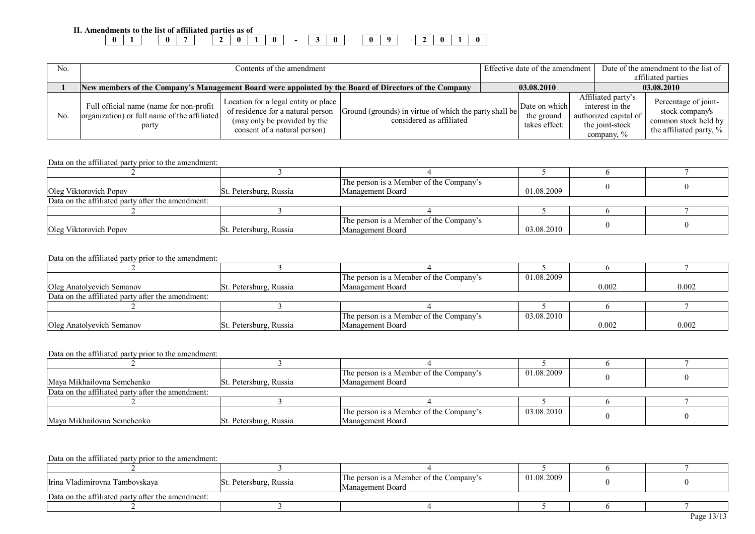| Amendments to the list of affiliated parties as of<br>v.<br> |  |  |   |  |  |  |  |  |
|--------------------------------------------------------------|--|--|---|--|--|--|--|--|
|                                                              |  |  | 0 |  |  |  |  |  |

| No. | Contents of the amendment                                                                             |                                                                                                                                           |                                                                                    | Effective date of the amendment |                                              |  |                                                                                                    | Date of the amendment to the list of<br>affiliated parties                                 |
|-----|-------------------------------------------------------------------------------------------------------|-------------------------------------------------------------------------------------------------------------------------------------------|------------------------------------------------------------------------------------|---------------------------------|----------------------------------------------|--|----------------------------------------------------------------------------------------------------|--------------------------------------------------------------------------------------------|
|     | New members of the Company's Management Board were appointed by the Board of Directors of the Company |                                                                                                                                           |                                                                                    |                                 | 03.08.2010                                   |  |                                                                                                    | 03.08.2010                                                                                 |
| No. | Full official name (name for non-profit<br>organization) or full name of the affiliated<br>party      | Location for a legal entity or place<br>of residence for a natural person<br>(may only be provided by the<br>consent of a natural person) | Ground (grounds) in virtue of which the party shall be<br>considered as affiliated |                                 | Date on which<br>the ground<br>takes effect: |  | Affiliated party's<br>interest in the<br>authorized capital of<br>the joint-stock<br>company, $\%$ | Percentage of joint-<br>stock company's<br>common stock held by<br>the affiliated party, % |

|                                                   |                        | The person is a Member of the Company's |            |  |
|---------------------------------------------------|------------------------|-----------------------------------------|------------|--|
| Oleg Viktorovich Popov                            | St. Petersburg, Russia | Management Board                        | 01.08.2009 |  |
| Data on the affiliated party after the amendment: |                        |                                         |            |  |
|                                                   |                        |                                         |            |  |
|                                                   |                        | The person is a Member of the Company's |            |  |
| Oleg Viktorovich Popov                            | St. Petersburg, Russia | Management Board                        | 03.08.2010 |  |

#### Data on the affiliated party prior to the amendment:

|                                                   |                        | The person is a Member of the Company's | 01.08.2009 |       |       |
|---------------------------------------------------|------------------------|-----------------------------------------|------------|-------|-------|
| Oleg Anatolyevich Semanov                         | St. Petersburg, Russia | Management Board                        |            | 0.002 | 0.002 |
| Data on the affiliated party after the amendment: |                        |                                         |            |       |       |
|                                                   |                        |                                         |            |       |       |
|                                                   |                        | The person is a Member of the Company's | 03.08.2010 |       |       |
| Oleg Anatolyevich Semanov                         | St. Petersburg, Russia | Management Board                        |            | 0.002 | 0.002 |

#### Data on the affiliated party prior to the amendment:

|                                                   |                        | The person is a Member of the Company's | 01.08.2009 |  |
|---------------------------------------------------|------------------------|-----------------------------------------|------------|--|
| Maya Mikhailovna Semchenko                        | St. Petersburg, Russia | Management Board                        |            |  |
| Data on the affiliated party after the amendment: |                        |                                         |            |  |
|                                                   |                        |                                         |            |  |
|                                                   |                        | The person is a Member of the Company's | 03.08.2010 |  |
| Maya Mikhailovna Semchenko                        | St. Petersburg, Russia | Management Board                        |            |  |

| Irina Vladimirovna Tambovskava                    | St. Petersburg, Russia | The person is a Member of the Company's<br>Management Board | 01.08.2009 |  |              |  |  |  |
|---------------------------------------------------|------------------------|-------------------------------------------------------------|------------|--|--------------|--|--|--|
| Data on the affiliated party after the amendment: |                        |                                                             |            |  |              |  |  |  |
|                                                   |                        |                                                             |            |  |              |  |  |  |
|                                                   |                        |                                                             |            |  | Page $13/13$ |  |  |  |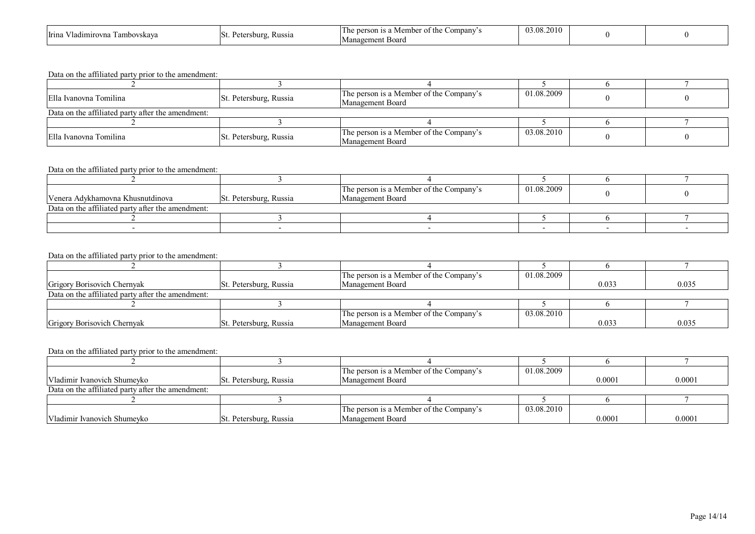| Irina<br>mirovna<br>1 ambovskava<br>ни | $D_{\alpha t}$<br>ISt<br>Russia | the<br>ompany′<br>$\sim$ $\sim$ $\sim$<br>'I he<br>. Memb⁄<br>person<br>-is a<br>Management Board | 2010<br>03.08.2 |  |  |
|----------------------------------------|---------------------------------|---------------------------------------------------------------------------------------------------|-----------------|--|--|
|----------------------------------------|---------------------------------|---------------------------------------------------------------------------------------------------|-----------------|--|--|

| Ella Ivanovna Tomilina                            | St. Petersburg, Russia | The person is a Member of the Company's<br>Management Board | 01.08.2009 |  |  |  |  |
|---------------------------------------------------|------------------------|-------------------------------------------------------------|------------|--|--|--|--|
| Data on the affiliated party after the amendment: |                        |                                                             |            |  |  |  |  |
|                                                   |                        |                                                             |            |  |  |  |  |
| Ella Ivanovna Tomilina                            | St. Petersburg, Russia | The person is a Member of the Company's<br>Management Board | 03.08.2010 |  |  |  |  |

#### Data on the affiliated party prior to the amendment:

| Venera Adykhamovna Khusnutdinova                  |                        | The person is a Member of the Company's<br>Management Board | 01.08.2009 |  |
|---------------------------------------------------|------------------------|-------------------------------------------------------------|------------|--|
|                                                   | St. Petersburg, Russia |                                                             |            |  |
| Data on the affiliated party after the amendment: |                        |                                                             |            |  |
|                                                   |                        |                                                             |            |  |
|                                                   |                        |                                                             |            |  |

#### Data on the affiliated party prior to the amendment:

|                                                   |                        | The person is a Member of the Company's | 01.08.2009 |       |       |
|---------------------------------------------------|------------------------|-----------------------------------------|------------|-------|-------|
| Grigory Borisovich Chernyak                       | St. Petersburg, Russia | Management Board                        |            | 0.033 | 0.035 |
| Data on the affiliated party after the amendment: |                        |                                         |            |       |       |
|                                                   |                        |                                         |            |       |       |
|                                                   |                        | The person is a Member of the Company's | 03.08.2010 |       |       |
| Grigory Borisovich Chernyak                       | St. Petersburg, Russia | Management Board                        |            | 0.033 | 0.035 |

|                                                   |                        | The person is a Member of the Company's | 01.08.2009 |        |        |
|---------------------------------------------------|------------------------|-----------------------------------------|------------|--------|--------|
| Vladimir Ivanovich Shumeyko                       | St. Petersburg, Russia | Management Board                        |            | 0.0001 | 0.0001 |
| Data on the affiliated party after the amendment: |                        |                                         |            |        |        |
|                                                   |                        |                                         |            |        |        |
|                                                   |                        | The person is a Member of the Company's | 03.08.2010 |        |        |
| Vladimir Ivanovich Shumeyko                       | St. Petersburg, Russia | Management Board                        |            | 0.0001 | 0.0001 |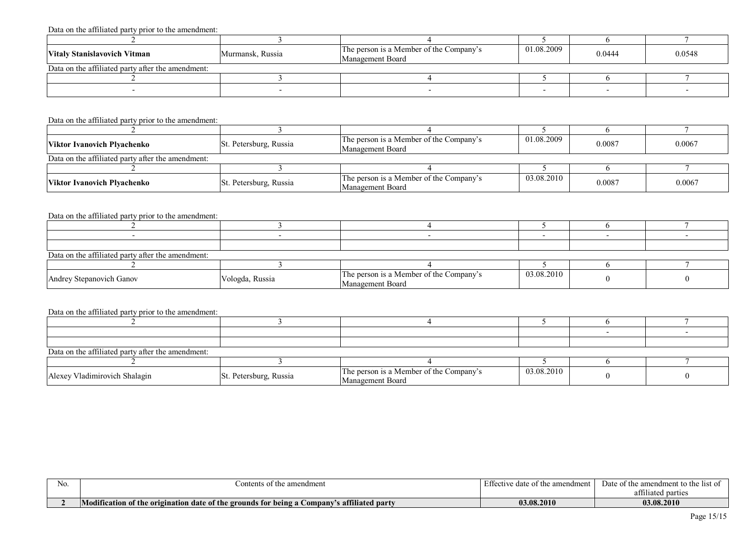| Vitaly Stanislavovich Vitman                      | Murmansk, Russia | The person is a Member of the Company's<br>Management Board | 01.08.2009 | 0.0444 | 0.0548 |
|---------------------------------------------------|------------------|-------------------------------------------------------------|------------|--------|--------|
| Data on the affiliated party after the amendment: |                  |                                                             |            |        |        |
|                                                   |                  |                                                             |            |        |        |
|                                                   |                  |                                                             |            |        |        |

#### Data on the affiliated party prior to the amendment:

| Viktor Ivanovich Plvachenko                       | St. Petersburg, Russia | The person is a Member of the Company's<br>Management Board | 01.08.2009 | 0.0087 | 0.0067 |
|---------------------------------------------------|------------------------|-------------------------------------------------------------|------------|--------|--------|
| Data on the affiliated party after the amendment: |                        |                                                             |            |        |        |
|                                                   |                        |                                                             |            |        |        |
| <b>Viktor Ivanovich Plyachenko</b>                | St. Petersburg, Russia | The person is a Member of the Company's<br>Management Board | 03.08.2010 | 0.0087 | 0.0067 |

### Data on the affiliated party prior to the amendment:

| .                                                 |                 |                                                             |            |  |
|---------------------------------------------------|-----------------|-------------------------------------------------------------|------------|--|
|                                                   |                 |                                                             |            |  |
|                                                   |                 |                                                             |            |  |
|                                                   |                 |                                                             |            |  |
| Data on the affiliated party after the amendment: |                 |                                                             |            |  |
|                                                   |                 |                                                             |            |  |
| Andrey Stepanovich Ganov                          | Vologda, Russia | The person is a Member of the Company's<br>Management Board | 03.08.2010 |  |

| Data on the affiliated party after the amendment: |                        |                                                             |            |  |  |  |  |  |  |
|---------------------------------------------------|------------------------|-------------------------------------------------------------|------------|--|--|--|--|--|--|
|                                                   |                        |                                                             |            |  |  |  |  |  |  |
| Alexey Vladimirovich Shalagin                     | St. Petersburg, Russia | The person is a Member of the Company's<br>Management Board | 03.08.2010 |  |  |  |  |  |  |

| INO. | `ontents<br>amendment<br>the                                                                                                                              | י הי<br>Effective<br>amendment<br>date<br>$\alpha$ + the<br>, uaic | Date of the<br>amendment to the<br>-list     |
|------|-----------------------------------------------------------------------------------------------------------------------------------------------------------|--------------------------------------------------------------------|----------------------------------------------|
|      |                                                                                                                                                           |                                                                    | $\sim$ $\sim$ $\sim$<br>parties<br>attulated |
|      | .<br><b>N</b><br>$\mathbf{F}$ . $\mathbf{F}$<br>cation of the<br>affiliated party<br>erigination date of the s<br>Attic<br>e grounds for being a Company' | <b>03.08.2010</b>                                                  | 03.08.2010                                   |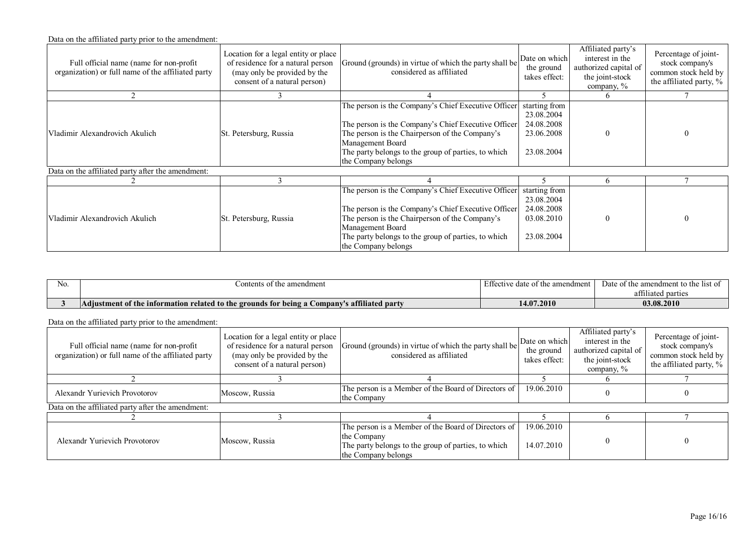| Full official name (name for non-profit)<br>organization) or full name of the affiliated party | Location for a legal entity or place<br>of residence for a natural person<br>(may only be provided by the<br>consent of a natural person) | Ground (grounds) in virtue of which the party shall be<br>considered as affiliated                                                                                                                                                                             | Date on which<br>the ground<br>takes effect:                          | Affiliated party's<br>interest in the<br>authorized capital of<br>the joint-stock<br>company, % | Percentage of joint-<br>stock company's<br>common stock held by<br>the affiliated party, % |
|------------------------------------------------------------------------------------------------|-------------------------------------------------------------------------------------------------------------------------------------------|----------------------------------------------------------------------------------------------------------------------------------------------------------------------------------------------------------------------------------------------------------------|-----------------------------------------------------------------------|-------------------------------------------------------------------------------------------------|--------------------------------------------------------------------------------------------|
|                                                                                                |                                                                                                                                           |                                                                                                                                                                                                                                                                |                                                                       |                                                                                                 |                                                                                            |
| Vladimir Alexandrovich Akulich                                                                 | St. Petersburg, Russia                                                                                                                    | The person is the Company's Chief Executive Officer<br>The person is the Company's Chief Executive Officer<br>The person is the Chairperson of the Company's<br>Management Board<br>The party belongs to the group of parties, to which<br>the Company belongs | starting from<br>23.08.2004<br>24.08.2008<br>23.06.2008<br>23.08.2004 |                                                                                                 |                                                                                            |
| Data on the affiliated party after the amendment:                                              |                                                                                                                                           |                                                                                                                                                                                                                                                                |                                                                       |                                                                                                 |                                                                                            |
|                                                                                                |                                                                                                                                           |                                                                                                                                                                                                                                                                |                                                                       | h.                                                                                              |                                                                                            |
| Vladimir Alexandrovich Akulich                                                                 | St. Petersburg, Russia                                                                                                                    | The person is the Company's Chief Executive Officer<br>The person is the Company's Chief Executive Officer<br>The person is the Chairperson of the Company's<br>Management Board<br>The party belongs to the group of parties, to which<br>the Company belongs | starting from<br>23.08.2004<br>24.08.2008<br>03.08.2010<br>23.08.2004 |                                                                                                 |                                                                                            |

| N <sub>O</sub> | amendment<br>Contents of<br>t the                                                                                                   | , oo<br>the amendment<br>Ette<br>loto ot tl<br>IVU UUUU VII | Date of the amendment to the list of |  |
|----------------|-------------------------------------------------------------------------------------------------------------------------------------|-------------------------------------------------------------|--------------------------------------|--|
|                |                                                                                                                                     |                                                             | om 11<br>attiliated parties          |  |
|                | s affiliated<br>$\mathbf{r}$<br>Adjustment of the information related to the grounds for being a C<br><b>party</b><br><b>€ompan</b> | 14.07.2010                                                  | 03.08.2010                           |  |

| Full official name (name for non-profit)<br>organization) or full name of the affiliated party | Location for a legal entity or place<br>of residence for a natural person<br>(may only be provided by the<br>consent of a natural person) | Ground (grounds) in virtue of which the party shall be<br>considered as affiliated                                                               | Date on which<br>the ground<br>takes effect: | Affiliated party's<br>interest in the<br>authorized capital of<br>the joint-stock<br>company, $\%$ | Percentage of joint-<br>stock company's<br>common stock held by<br>the affiliated party, % |
|------------------------------------------------------------------------------------------------|-------------------------------------------------------------------------------------------------------------------------------------------|--------------------------------------------------------------------------------------------------------------------------------------------------|----------------------------------------------|----------------------------------------------------------------------------------------------------|--------------------------------------------------------------------------------------------|
|                                                                                                |                                                                                                                                           |                                                                                                                                                  |                                              |                                                                                                    |                                                                                            |
| Alexandr Yurievich Provotorov                                                                  | Moscow, Russia                                                                                                                            | The person is a Member of the Board of Directors of  <br>the Company                                                                             | 19.06.2010                                   |                                                                                                    |                                                                                            |
| Data on the affiliated party after the amendment:                                              |                                                                                                                                           |                                                                                                                                                  |                                              |                                                                                                    |                                                                                            |
|                                                                                                |                                                                                                                                           |                                                                                                                                                  |                                              |                                                                                                    |                                                                                            |
| Alexandr Yurievich Provotorov                                                                  | Moscow, Russia                                                                                                                            | The person is a Member of the Board of Directors of<br>the Company<br>The party belongs to the group of parties, to which<br>the Company belongs | 19.06.2010<br>14.07.2010                     |                                                                                                    |                                                                                            |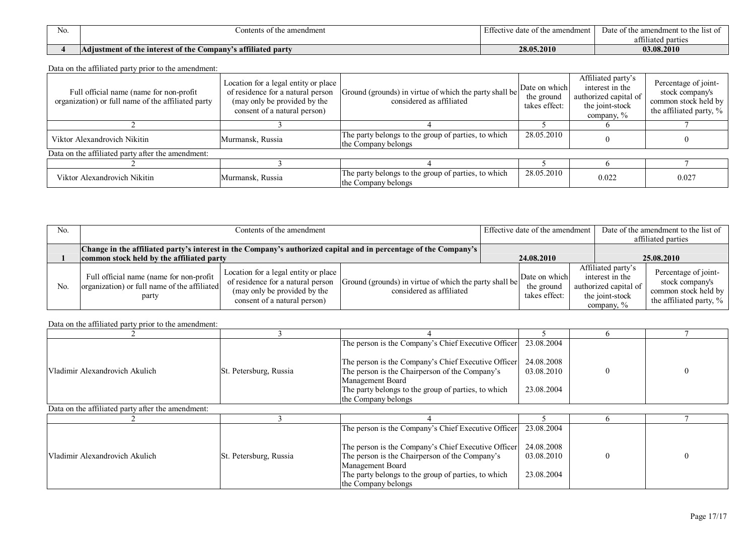| N <sub>O</sub> | Contents of the amendment                                       | Effeo<br>ive date of the amendment | Date of<br>of the l<br>amendment to the<br>11 C T |  |
|----------------|-----------------------------------------------------------------|------------------------------------|---------------------------------------------------|--|
|                |                                                                 |                                    | $\sim$ $\sim$<br>parties<br>attı<br>hated         |  |
|                | affiliated party<br>Adjustment of the interest of the<br>ompany | 28.05.2010                         | 03.08.2010                                        |  |

| Full official name (name for non-profit<br>organization) or full name of the affiliated party | Location for a legal entity or place<br>of residence for a natural person<br>(may only be provided by the<br>consent of a natural person) | Ground (grounds) in virtue of which the party shall be<br>considered as affiliated | Date on which<br>the ground<br>takes effect: | Affiliated party's<br>interest in the<br>authorized capital of<br>the joint-stock<br>company, $\%$ | Percentage of joint-<br>stock company's<br>common stock held by<br>the affiliated party, % |
|-----------------------------------------------------------------------------------------------|-------------------------------------------------------------------------------------------------------------------------------------------|------------------------------------------------------------------------------------|----------------------------------------------|----------------------------------------------------------------------------------------------------|--------------------------------------------------------------------------------------------|
|                                                                                               |                                                                                                                                           |                                                                                    |                                              |                                                                                                    |                                                                                            |
| Viktor Alexandrovich Nikitin                                                                  | Murmansk, Russia                                                                                                                          | The party belongs to the group of parties, to which<br>the Company belongs         | 28.05.2010                                   |                                                                                                    |                                                                                            |
| Data on the affiliated party after the amendment:                                             |                                                                                                                                           |                                                                                    |                                              |                                                                                                    |                                                                                            |
|                                                                                               |                                                                                                                                           |                                                                                    |                                              |                                                                                                    |                                                                                            |
| Viktor Alexandrovich Nikitin                                                                  | Murmansk, Russia                                                                                                                          | The party belongs to the group of parties, to which<br>the Company belongs         | 28.05.2010                                   | 0.022                                                                                              | 0.027                                                                                      |

| N <sub>0</sub> | Contents of the amendment                                                                                                                                       |                                                                                                                                           |                                                                                    | Effective date of the amendment |                                              |  | Date of the amendment to the list of<br>affiliated parties                                         |                                                                                            |
|----------------|-----------------------------------------------------------------------------------------------------------------------------------------------------------------|-------------------------------------------------------------------------------------------------------------------------------------------|------------------------------------------------------------------------------------|---------------------------------|----------------------------------------------|--|----------------------------------------------------------------------------------------------------|--------------------------------------------------------------------------------------------|
|                | Change in the affiliated party's interest in the Company's authorized capital and in percentage of the Company's  <br>common stock held by the affiliated party |                                                                                                                                           |                                                                                    |                                 | 24.08.2010                                   |  | 25.08.2010                                                                                         |                                                                                            |
| N <sub>0</sub> | Full official name (name for non-profit  <br>organization) or full name of the affiliated<br>party                                                              | Location for a legal entity or place<br>of residence for a natural person<br>(may only be provided by the<br>consent of a natural person) | Ground (grounds) in virtue of which the party shall be<br>considered as affiliated |                                 | Date on which<br>the ground<br>takes effect: |  | Affiliated party's<br>interest in the<br>authorized capital of<br>the joint-stock<br>company, $\%$ | Percentage of joint-<br>stock company's<br>common stock held by<br>the affiliated party, % |

|                                                   |                        | The person is the Company's Chief Executive Officer                        | 23.08.2004 |          |   |
|---------------------------------------------------|------------------------|----------------------------------------------------------------------------|------------|----------|---|
|                                                   |                        | The person is the Company's Chief Executive Officer                        | 24.08.2008 |          |   |
| Vladimir Alexandrovich Akulich                    | St. Petersburg, Russia | The person is the Chairperson of the Company's<br>Management Board         | 03.08.2010 | $\theta$ | 0 |
|                                                   |                        | The party belongs to the group of parties, to which<br>the Company belongs | 23.08.2004 |          |   |
| Data on the affiliated party after the amendment: |                        |                                                                            |            |          |   |
|                                                   |                        |                                                                            |            |          |   |
|                                                   |                        | The person is the Company's Chief Executive Officer                        | 23.08.2004 |          |   |
|                                                   |                        | The person is the Company's Chief Executive Officer                        | 24.08.2008 |          |   |
| Vladimir Alexandrovich Akulich                    | St. Petersburg, Russia | The person is the Chairperson of the Company's                             | 03.08.2010 | $\Omega$ | 0 |
|                                                   |                        | Management Board                                                           |            |          |   |
|                                                   |                        | The party belongs to the group of parties, to which                        | 23.08.2004 |          |   |
|                                                   |                        | the Company belongs                                                        |            |          |   |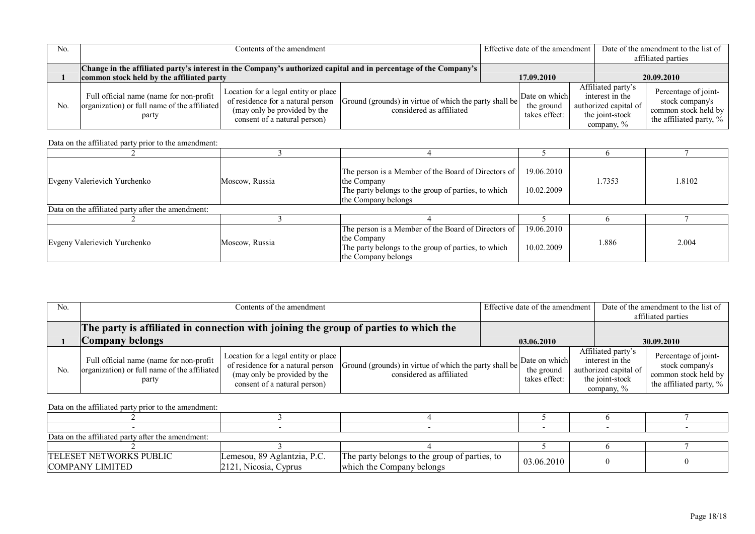| N <sub>0</sub> | Contents of the amendment                                                                                                                                     |                                                                                                                                           |                                                                                    |  | Effective date of the amendment              |  |                                                                                                 | Date of the amendment to the list of<br>affiliated parties                                 |  |
|----------------|---------------------------------------------------------------------------------------------------------------------------------------------------------------|-------------------------------------------------------------------------------------------------------------------------------------------|------------------------------------------------------------------------------------|--|----------------------------------------------|--|-------------------------------------------------------------------------------------------------|--------------------------------------------------------------------------------------------|--|
|                | Change in the affiliated party's interest in the Company's authorized capital and in percentage of the Company's<br>common stock held by the affiliated party |                                                                                                                                           |                                                                                    |  | 17.09.2010                                   |  | 20.09.2010                                                                                      |                                                                                            |  |
| N <sub>0</sub> | Full official name (name for non-profit<br>organization) or full name of the affiliated<br>party                                                              | Location for a legal entity or place<br>of residence for a natural person<br>(may only be provided by the<br>consent of a natural person) | Ground (grounds) in virtue of which the party shall be<br>considered as affiliated |  | Date on which<br>the ground<br>takes effect: |  | Affiliated party's<br>interest in the<br>authorized capital of<br>the joint-stock<br>company, % | Percentage of joint-<br>stock company's<br>common stock held by<br>the affiliated party, % |  |

| Evgeny Valerievich Yurchenko                      | Moscow, Russia | The person is a Member of the Board of Directors of<br>the Company<br>The party belongs to the group of parties, to which<br>the Company belongs   | 19.06.2010<br>10.02.2009 | 1.7353 | 1.8102 |
|---------------------------------------------------|----------------|----------------------------------------------------------------------------------------------------------------------------------------------------|--------------------------|--------|--------|
| Data on the affiliated party after the amendment: |                |                                                                                                                                                    |                          |        |        |
|                                                   |                |                                                                                                                                                    |                          |        |        |
| Evgeny Valerievich Yurchenko                      | Moscow, Russia | The person is a Member of the Board of Directors of  <br>the Company<br>The party belongs to the group of parties, to which<br>the Company belongs | 19.06.2010<br>10.02.2009 | 1.886  | 2.004  |

| No. | Contents of the amendment                                                                          |                                                                                                                                           |                                                                                    | Effective date of the amendment |                                              |  | Date of the amendment to the list of<br>affiliated parties                                         |                                                                                               |
|-----|----------------------------------------------------------------------------------------------------|-------------------------------------------------------------------------------------------------------------------------------------------|------------------------------------------------------------------------------------|---------------------------------|----------------------------------------------|--|----------------------------------------------------------------------------------------------------|-----------------------------------------------------------------------------------------------|
|     | The party is affiliated in connection with joining the group of parties to which the               |                                                                                                                                           |                                                                                    |                                 |                                              |  |                                                                                                    |                                                                                               |
|     | Company belongs                                                                                    |                                                                                                                                           |                                                                                    | 03.06.2010                      |                                              |  | 30.09.2010                                                                                         |                                                                                               |
| No. | Full official name (name for non-profit  <br>organization) or full name of the affiliated<br>party | Location for a legal entity or place<br>of residence for a natural person<br>(may only be provided by the<br>consent of a natural person) | Ground (grounds) in virtue of which the party shall be<br>considered as affiliated |                                 | Date on which<br>the ground<br>takes effect: |  | Affiliated party's<br>interest in the<br>authorized capital of<br>the joint-stock<br>company, $\%$ | Percentage of joint-<br>stock company's<br>common stock held by<br>the affiliated party, $\%$ |

| Data on the affiliated party after the amendment:        |                                                         |                                                                            |            |  |  |  |  |  |  |
|----------------------------------------------------------|---------------------------------------------------------|----------------------------------------------------------------------------|------------|--|--|--|--|--|--|
|                                                          |                                                         |                                                                            |            |  |  |  |  |  |  |
| <b>TELESET NETWORKS PUBLIC</b><br><b>COMPANY LIMITED</b> | Lemesou, 89 Aglantzia, P.C.<br>$2121$ , Nicosia, Cyprus | The party belongs to the group of parties, to<br>which the Company belongs | 03.06.2010 |  |  |  |  |  |  |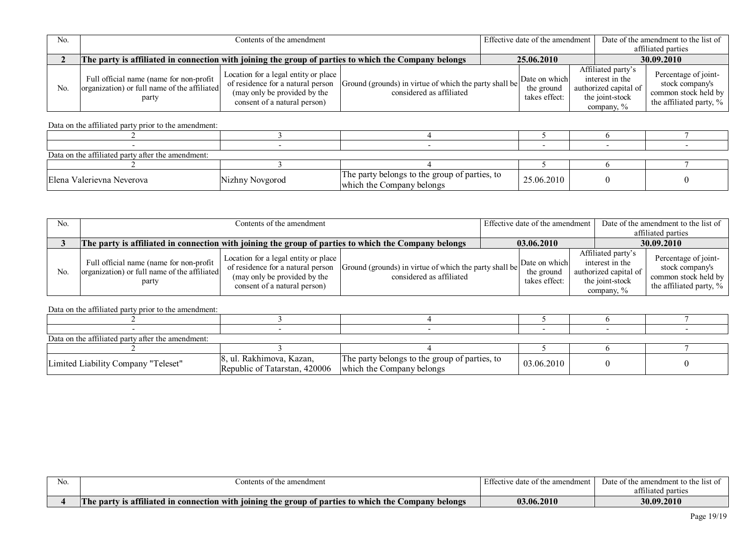| N <sub>0</sub> |                                                                                                      | Contents of the amendment                                                                                                                 |                                                                                    |            | Effective date of the amendment              |                                  |                                                                | Date of the amendment to the list of                                                          |  |
|----------------|------------------------------------------------------------------------------------------------------|-------------------------------------------------------------------------------------------------------------------------------------------|------------------------------------------------------------------------------------|------------|----------------------------------------------|----------------------------------|----------------------------------------------------------------|-----------------------------------------------------------------------------------------------|--|
|                |                                                                                                      |                                                                                                                                           |                                                                                    |            |                                              |                                  |                                                                | affiliated parties                                                                            |  |
|                | The party is affiliated in connection with joining the group of parties to which the Company belongs |                                                                                                                                           |                                                                                    | 25.06.2010 |                                              |                                  | 30.09.2010                                                     |                                                                                               |  |
| No.            | Full official name (name for non-profit)<br>organization) or full name of the affiliated<br>party    | Location for a legal entity or place<br>of residence for a natural person<br>(may only be provided by the<br>consent of a natural person) | Ground (grounds) in virtue of which the party shall be<br>considered as affiliated |            | Date on which<br>the ground<br>takes effect: | the joint-stock<br>company, $\%$ | Affiliated party's<br>interest in the<br>authorized capital of | Percentage of joint-<br>stock company's<br>common stock held by<br>the affiliated party, $\%$ |  |

| Data on the affiliated party after the amendment: |                 |                                                                            |            |  |  |  |  |  |  |
|---------------------------------------------------|-----------------|----------------------------------------------------------------------------|------------|--|--|--|--|--|--|
|                                                   |                 |                                                                            |            |  |  |  |  |  |  |
| Elena Valerievna Neverova                         | Nizhny Novgorod | The party belongs to the group of parties, to<br>which the Company belongs | 25.06.2010 |  |  |  |  |  |  |

| N <sub>0</sub> | Contents of the amendment                                                                            |                                                                                                                                           |                                                                                    | Effective date of the amendment |                                              |  | Date of the amendment to the list of<br>affiliated parties                                         |                                                                                            |
|----------------|------------------------------------------------------------------------------------------------------|-------------------------------------------------------------------------------------------------------------------------------------------|------------------------------------------------------------------------------------|---------------------------------|----------------------------------------------|--|----------------------------------------------------------------------------------------------------|--------------------------------------------------------------------------------------------|
|                | The party is affiliated in connection with joining the group of parties to which the Company belongs |                                                                                                                                           |                                                                                    | 03.06.2010                      |                                              |  | 30.09.2010                                                                                         |                                                                                            |
| N <sub>0</sub> | Full official name (name for non-profit  <br>organization) or full name of the affiliated<br>party   | Location for a legal entity or place<br>of residence for a natural person<br>(may only be provided by the<br>consent of a natural person) | Ground (grounds) in virtue of which the party shall be<br>considered as affiliated |                                 | Date on which<br>the ground<br>takes effect: |  | Affiliated party's<br>interest in the<br>authorized capital of<br>the joint-stock<br>company, $\%$ | Percentage of joint-<br>stock company's<br>common stock held by<br>the affiliated party, % |

| Data on the affiliated party after the amendment: |                                                                                     |                                               |            |  |  |  |  |  |  |
|---------------------------------------------------|-------------------------------------------------------------------------------------|-----------------------------------------------|------------|--|--|--|--|--|--|
|                                                   |                                                                                     |                                               |            |  |  |  |  |  |  |
| Limited Liability Company "Teleset"               | 8, ul. Rakhimova, Kazan,<br>Republic of Tatarstan, 420006 which the Company belongs | The party belongs to the group of parties, to | 03.06.2010 |  |  |  |  |  |  |

| NO. | $\cdot$ ontents o<br>t the amendment                                                                                                                                        | Effective date of the amendment | Date of the amendment to the list of          |
|-----|-----------------------------------------------------------------------------------------------------------------------------------------------------------------------------|---------------------------------|-----------------------------------------------|
|     |                                                                                                                                                                             |                                 | $\sim$ $\sim$ $\sim$<br>parties<br>affiliated |
|     | 0011<br>m<br>the group of parties to which the<br><b>is attiliated in connection with</b><br>joining<br>$\angle$ ompany<br><sup>'</sup> belongs<br>$\blacksquare$ The party | 03.06.2010                      | 30.09.2010                                    |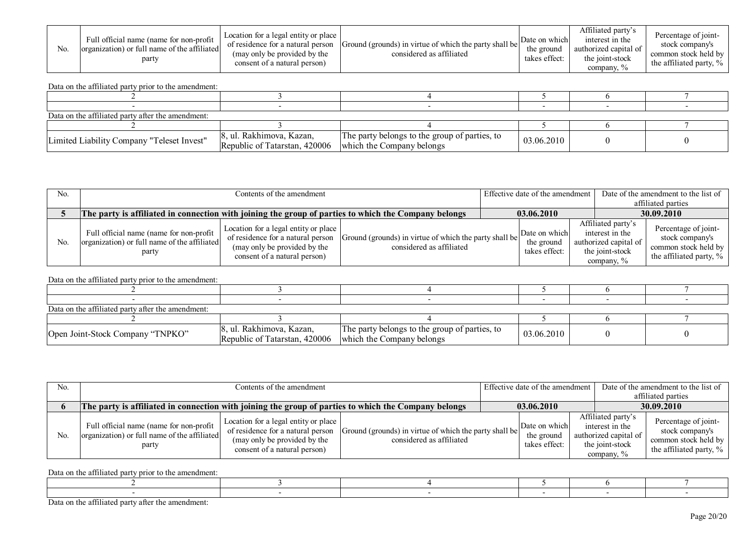| No. | Full official name (name for non-profit<br>organization) or full name of the affiliated<br>party | Location for a legal entity or place<br>of residence for a natural person<br>(may only be provided by the<br>consent of a natural person) | Ground (grounds) in virtue of which the party shall be<br>considered as affiliated | Date on which<br>the ground<br>takes effect: | Affiliated party's<br>interest in the<br>authorized capital of<br>the joint-stock<br>company, % | Percentage of joint-<br>stock company's<br>common stock held by<br>the affiliated party, $\%$ |
|-----|--------------------------------------------------------------------------------------------------|-------------------------------------------------------------------------------------------------------------------------------------------|------------------------------------------------------------------------------------|----------------------------------------------|-------------------------------------------------------------------------------------------------|-----------------------------------------------------------------------------------------------|
|-----|--------------------------------------------------------------------------------------------------|-------------------------------------------------------------------------------------------------------------------------------------------|------------------------------------------------------------------------------------|----------------------------------------------|-------------------------------------------------------------------------------------------------|-----------------------------------------------------------------------------------------------|

| Data on the affiliated party after the amendment: |                                                                                     |                                               |            |  |  |  |  |  |  |
|---------------------------------------------------|-------------------------------------------------------------------------------------|-----------------------------------------------|------------|--|--|--|--|--|--|
|                                                   |                                                                                     |                                               |            |  |  |  |  |  |  |
| Limited Liability Company "Teleset Invest"        | 8, ul. Rakhimova, Kazan,<br>Republic of Tatarstan, 420006 which the Company belongs | The party belongs to the group of parties, to | 03.06.2010 |  |  |  |  |  |  |

| No. |                                                                                                      | Contents of the amendment                                                                                                                 |                                                                                    |  |                                              | Effective date of the amendment | Date of the amendment to the list of                                                               |                                                                                               |
|-----|------------------------------------------------------------------------------------------------------|-------------------------------------------------------------------------------------------------------------------------------------------|------------------------------------------------------------------------------------|--|----------------------------------------------|---------------------------------|----------------------------------------------------------------------------------------------------|-----------------------------------------------------------------------------------------------|
|     |                                                                                                      |                                                                                                                                           |                                                                                    |  |                                              |                                 |                                                                                                    | affiliated parties                                                                            |
|     | The party is affiliated in connection with joining the group of parties to which the Company belongs |                                                                                                                                           |                                                                                    |  | 03.06.2010                                   |                                 | 30.09.2010                                                                                         |                                                                                               |
| No. | Full official name (name for non-profit<br>organization) or full name of the affiliated<br>party     | Location for a legal entity or place<br>of residence for a natural person<br>(may only be provided by the<br>consent of a natural person) | Ground (grounds) in virtue of which the party shall be<br>considered as affiliated |  | Date on which<br>the ground<br>takes effect: |                                 | Affiliated party's<br>interest in the<br>authorized capital of<br>the joint-stock<br>company, $\%$ | Percentage of joint-<br>stock company's<br>common stock held by<br>the affiliated party, $\%$ |

Data on the affiliated party prior to the amendment:

| Data on the affiliated party after the amendment: |                                                                                     |                                               |            |  |  |  |  |  |  |
|---------------------------------------------------|-------------------------------------------------------------------------------------|-----------------------------------------------|------------|--|--|--|--|--|--|
|                                                   |                                                                                     |                                               |            |  |  |  |  |  |  |
| Open Joint-Stock Company "TNPKO"                  | 8, ul. Rakhimova, Kazan,<br>Republic of Tatarstan, 420006 which the Company belongs | The party belongs to the group of parties, to | 03.06.2010 |  |  |  |  |  |  |

| N <sub>0</sub> | Contents of the amendment                                                                            |                                                                                                                                           |                                                                                    |  | Effective date of the amendment              |  |                                                                                                    | Date of the amendment to the list of                                                       |  |
|----------------|------------------------------------------------------------------------------------------------------|-------------------------------------------------------------------------------------------------------------------------------------------|------------------------------------------------------------------------------------|--|----------------------------------------------|--|----------------------------------------------------------------------------------------------------|--------------------------------------------------------------------------------------------|--|
|                |                                                                                                      |                                                                                                                                           |                                                                                    |  |                                              |  |                                                                                                    | affiliated parties                                                                         |  |
|                | The party is affiliated in connection with joining the group of parties to which the Company belongs |                                                                                                                                           |                                                                                    |  | 03.06.2010                                   |  | 30.09.2010                                                                                         |                                                                                            |  |
| No.            | Full official name (name for non-profit<br>organization) or full name of the affiliated<br>party     | Location for a legal entity or place<br>of residence for a natural person<br>(may only be provided by the<br>consent of a natural person) | Ground (grounds) in virtue of which the party shall be<br>considered as affiliated |  | Date on which<br>the ground<br>takes effect: |  | Affiliated party's<br>interest in the<br>authorized capital of<br>the joint-stock<br>company, $\%$ | Percentage of joint-<br>stock company's<br>common stock held by<br>the affiliated party, % |  |

Data on the affiliated party prior to the amendment:

Data on the affiliated party after the amendment: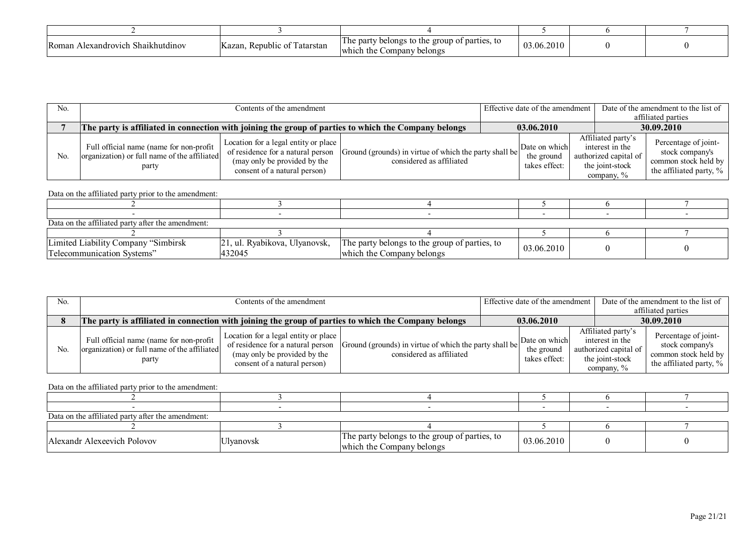| Roman<br>Alexandrovich Shaikhutdinov | $\sim$<br>.<br>. Republic of<br>1 atarstan<br>Kazan. | The party<br>belongs to the<br>e group of parties, to<br>Company<br>belongs<br>which the | 03.06.2010 |  |
|--------------------------------------|------------------------------------------------------|------------------------------------------------------------------------------------------|------------|--|

| No.            |                                                                                                      | Contents of the amendment                                                                                                                 |                                                                                    |  |                                              | Effective date of the amendment                                                                    | Date of the amendment to the list of |                                                                                            |
|----------------|------------------------------------------------------------------------------------------------------|-------------------------------------------------------------------------------------------------------------------------------------------|------------------------------------------------------------------------------------|--|----------------------------------------------|----------------------------------------------------------------------------------------------------|--------------------------------------|--------------------------------------------------------------------------------------------|
|                |                                                                                                      |                                                                                                                                           |                                                                                    |  |                                              |                                                                                                    |                                      | affiliated parties                                                                         |
|                | The party is affiliated in connection with joining the group of parties to which the Company belongs |                                                                                                                                           |                                                                                    |  | 03.06.2010                                   |                                                                                                    | 30.09.2010                           |                                                                                            |
| N <sub>0</sub> | Full official name (name for non-profit )<br>organization) or full name of the affiliated<br>party   | Location for a legal entity or place<br>of residence for a natural person<br>(may only be provided by the<br>consent of a natural person) | Ground (grounds) in virtue of which the party shall be<br>considered as affiliated |  | Date on which<br>the ground<br>takes effect: | Affiliated party's<br>interest in the<br>authorized capital of<br>the joint-stock<br>company, $\%$ |                                      | Percentage of joint-<br>stock company's<br>common stock held by<br>the affiliated party, % |

| Data on the affiliated party after the amendment: |                                |                                               |            |  |  |  |  |  |  |
|---------------------------------------------------|--------------------------------|-----------------------------------------------|------------|--|--|--|--|--|--|
|                                                   |                                |                                               |            |  |  |  |  |  |  |
| Limited Liability Company "Simbirsk"              | [21, ul. Ryabikova, Ulyanovsk, | The party belongs to the group of parties, to | 03.06.2010 |  |  |  |  |  |  |
| Telecommunication Systems"                        | 432045                         | which the Company belongs                     |            |  |  |  |  |  |  |

| No. | Contents of the amendment                                                                            |                                                                                                                                           |                                                                                    |            | Effective date of the amendment              |                                                                                                 | Date of the amendment to the list of<br>affiliated parties                                    |
|-----|------------------------------------------------------------------------------------------------------|-------------------------------------------------------------------------------------------------------------------------------------------|------------------------------------------------------------------------------------|------------|----------------------------------------------|-------------------------------------------------------------------------------------------------|-----------------------------------------------------------------------------------------------|
|     | The party is affiliated in connection with joining the group of parties to which the Company belongs |                                                                                                                                           |                                                                                    | 03.06.2010 |                                              |                                                                                                 | 30.09.2010                                                                                    |
| No. | Full official name (name for non-profit<br>organization) or full name of the affiliated<br>party     | Location for a legal entity or place<br>of residence for a natural person<br>(may only be provided by the<br>consent of a natural person) | Ground (grounds) in virtue of which the party shall be<br>considered as affiliated |            | Date on which<br>the ground<br>takes effect: | Affiliated party's<br>interest in the<br>authorized capital of<br>the joint-stock<br>company, % | Percentage of joint-<br>stock company's<br>common stock held by<br>the affiliated party, $\%$ |

| Data on the affiliated party after the amendment: |                  |                                                                            |            |  |  |  |  |  |  |
|---------------------------------------------------|------------------|----------------------------------------------------------------------------|------------|--|--|--|--|--|--|
|                                                   |                  |                                                                            |            |  |  |  |  |  |  |
| Alexandr Alexeevich Polovov                       | <b>Ulyanovsk</b> | The party belongs to the group of parties, to<br>which the Company belongs | 03.06.2010 |  |  |  |  |  |  |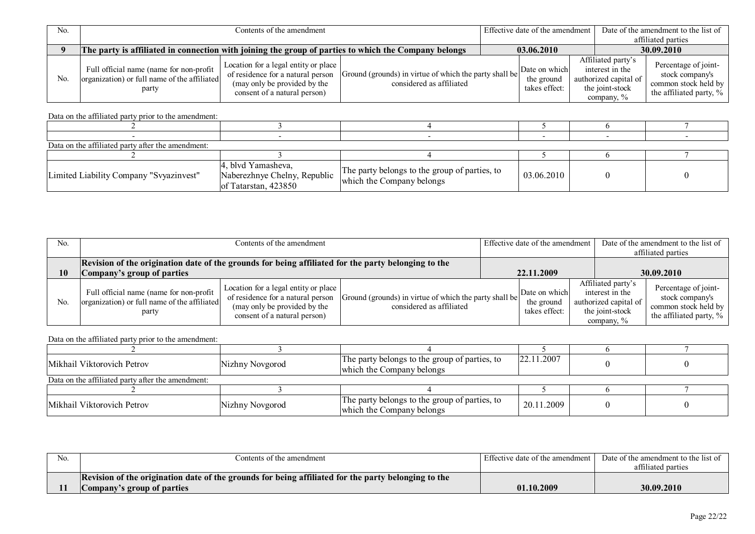| N <sub>0</sub> |                                                                                                      | Contents of the amendment                                                                                                                 |                                                                                    |  |                                              | Effective date of the amendment | Date of the amendment to the list of                                                               |                                                                                               |  |
|----------------|------------------------------------------------------------------------------------------------------|-------------------------------------------------------------------------------------------------------------------------------------------|------------------------------------------------------------------------------------|--|----------------------------------------------|---------------------------------|----------------------------------------------------------------------------------------------------|-----------------------------------------------------------------------------------------------|--|
|                |                                                                                                      |                                                                                                                                           |                                                                                    |  |                                              |                                 |                                                                                                    | affiliated parties                                                                            |  |
|                | The party is affiliated in connection with joining the group of parties to which the Company belongs |                                                                                                                                           |                                                                                    |  | 03.06.2010                                   |                                 | 30.09.2010                                                                                         |                                                                                               |  |
| No             | Full official name (name for non-profit<br>organization) or full name of the affiliated<br>party     | Location for a legal entity or place<br>of residence for a natural person<br>(may only be provided by the<br>consent of a natural person) | Ground (grounds) in virtue of which the party shall be<br>considered as affiliated |  | Date on which<br>the ground<br>takes effect: |                                 | Affiliated party's<br>interest in the<br>authorized capital of<br>the joint-stock<br>company, $\%$ | Percentage of joint-<br>stock company's<br>common stock held by<br>the affiliated party, $\%$ |  |

| Data on the affiliated party after the amendment: |                                                                            |                                                                            |            |  |  |  |  |  |  |
|---------------------------------------------------|----------------------------------------------------------------------------|----------------------------------------------------------------------------|------------|--|--|--|--|--|--|
|                                                   |                                                                            |                                                                            |            |  |  |  |  |  |  |
| Limited Liability Company "Svyazinvest"           | 4, blvd Yamasheva,<br>Naberezhnye Chelny, Republic<br>of Tatarstan, 423850 | The party belongs to the group of parties, to<br>which the Company belongs | 03.06.2010 |  |  |  |  |  |  |

| No. |                                                                                                     | Contents of the amendment                                                                                                                 |                                                                                    |  | Effective date of the amendment I            |  |                                                                                                    | Date of the amendment to the list of<br>affiliated parties                                 |
|-----|-----------------------------------------------------------------------------------------------------|-------------------------------------------------------------------------------------------------------------------------------------------|------------------------------------------------------------------------------------|--|----------------------------------------------|--|----------------------------------------------------------------------------------------------------|--------------------------------------------------------------------------------------------|
|     | Revision of the origination date of the grounds for being affiliated for the party belonging to the |                                                                                                                                           |                                                                                    |  |                                              |  |                                                                                                    |                                                                                            |
| 10  | Company's group of parties                                                                          |                                                                                                                                           |                                                                                    |  | 22.11.2009                                   |  | 30.09.2010                                                                                         |                                                                                            |
| No. | Full official name (name for non-profit  <br>organization) or full name of the affiliated<br>party  | Location for a legal entity or place<br>of residence for a natural person<br>(may only be provided by the<br>consent of a natural person) | Ground (grounds) in virtue of which the party shall be<br>considered as affiliated |  | Date on which<br>the ground<br>takes effect: |  | Affiliated party's<br>interest in the<br>authorized capital of<br>the joint-stock<br>company, $\%$ | Percentage of joint-<br>stock company's<br>common stock held by<br>the affiliated party, % |

| Mikhail Viktorovich Petrov                        | Nizhny Novgorod | The party belongs to the group of parties, to<br>which the Company belongs | 22.11.2007 |  |  |  |  |  |
|---------------------------------------------------|-----------------|----------------------------------------------------------------------------|------------|--|--|--|--|--|
| Data on the affiliated party after the amendment: |                 |                                                                            |            |  |  |  |  |  |
|                                                   |                 |                                                                            |            |  |  |  |  |  |
| Mikhail Viktorovich Petrov                        | Nizhny Novgorod | The party belongs to the group of parties, to<br>which the Company belongs | 20.11.2009 |  |  |  |  |  |

| No. | Contents of the amendment                                                                           | Effective date of the amendment | Date of the amendment to the list of |
|-----|-----------------------------------------------------------------------------------------------------|---------------------------------|--------------------------------------|
|     |                                                                                                     |                                 | affiliated parties                   |
|     | Revision of the origination date of the grounds for being affiliated for the party belonging to the |                                 |                                      |
|     | Company's group of parties                                                                          | 01.10.2009                      | 30.09.2010                           |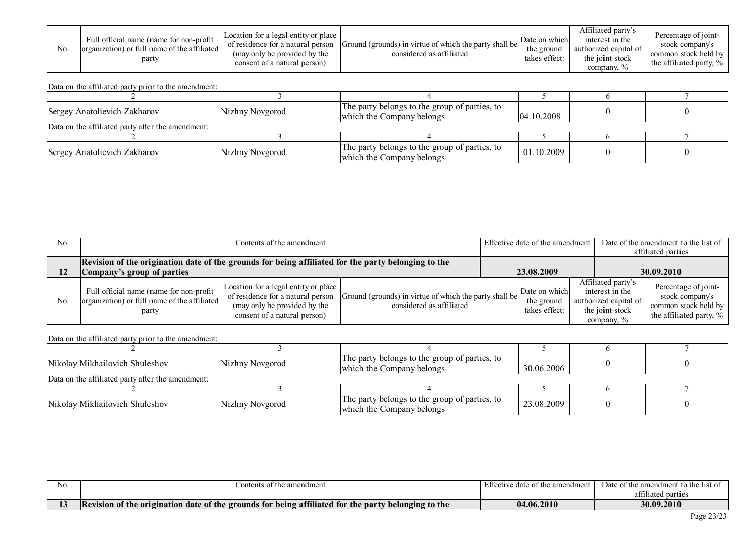| N <sub>0</sub> | Full official name (name for non-profit<br>organization) or full name of the affiliated<br>party | Location for a legal entity or place<br>of residence for a natural person<br>(may only be provided by the<br>consent of a natural person) | Ground (grounds) in virtue of which the party shall be<br>considered as affiliated | Date on which<br>the ground<br>takes effect: | Affiliated party's<br>interest in the<br>authorized capital of<br>the joint-stock<br>company, % | Percentage of joint-<br>stock company's<br>common stock held by<br>the affiliated party, $\%$ |
|----------------|--------------------------------------------------------------------------------------------------|-------------------------------------------------------------------------------------------------------------------------------------------|------------------------------------------------------------------------------------|----------------------------------------------|-------------------------------------------------------------------------------------------------|-----------------------------------------------------------------------------------------------|
|----------------|--------------------------------------------------------------------------------------------------|-------------------------------------------------------------------------------------------------------------------------------------------|------------------------------------------------------------------------------------|----------------------------------------------|-------------------------------------------------------------------------------------------------|-----------------------------------------------------------------------------------------------|

| Sergey Anatolievich Zakharov                      | Nizhny Novgorod | The party belongs to the group of parties, to<br>which the Company belongs | [04.10.2008] |  |
|---------------------------------------------------|-----------------|----------------------------------------------------------------------------|--------------|--|
| Data on the affiliated party after the amendment: |                 |                                                                            |              |  |
|                                                   |                 |                                                                            |              |  |
| Sergey Anatolievich Zakharov                      | Nizhny Novgorod | The party belongs to the group of parties, to<br>which the Company belongs | 01.10.2009   |  |

| No.            | Contents of the amendment                                                                                                         |                                                                                                                                           |                                                                                    | Effective date of the amendment I |                                              |  | Date of the amendment to the list of<br>affiliated parties                                         |                                                                                            |
|----------------|-----------------------------------------------------------------------------------------------------------------------------------|-------------------------------------------------------------------------------------------------------------------------------------------|------------------------------------------------------------------------------------|-----------------------------------|----------------------------------------------|--|----------------------------------------------------------------------------------------------------|--------------------------------------------------------------------------------------------|
| 12             | Revision of the origination date of the grounds for being affiliated for the party belonging to the<br>Company's group of parties |                                                                                                                                           |                                                                                    |                                   | 23.08.2009                                   |  |                                                                                                    | 30.09.2010                                                                                 |
| N <sub>0</sub> | Full official name (name for non-profit<br>organization) or full name of the affiliated<br>party                                  | Location for a legal entity or place<br>of residence for a natural person<br>(may only be provided by the<br>consent of a natural person) | Ground (grounds) in virtue of which the party shall be<br>considered as affiliated |                                   | Date on which<br>the ground<br>takes effect: |  | Affiliated party's<br>interest in the<br>authorized capital of<br>the joint-stock<br>company, $\%$ | Percentage of joint-<br>stock company's<br>common stock held by<br>the affiliated party, % |

| Nikolay Mikhailovich Shuleshov                    | Nizhny Novgorod | The party belongs to the group of parties, to<br>which the Company belongs | 30.06.2006 |  |
|---------------------------------------------------|-----------------|----------------------------------------------------------------------------|------------|--|
| Data on the affiliated party after the amendment: |                 |                                                                            |            |  |
|                                                   |                 |                                                                            |            |  |
| Nikolay Mikhailovich Shuleshov                    | Nizhny Novgorod | The party belongs to the group of parties, to<br>which the Company belongs | 23.08.2009 |  |

| No. | Contents of the amendment                                                                                            | . Effective date of the amendment | Date of the amendment to the list of |
|-----|----------------------------------------------------------------------------------------------------------------------|-----------------------------------|--------------------------------------|
|     |                                                                                                                      |                                   | parties<br>affiliated                |
| ⊥◡  | vision of the origination date of the grounds for being affiliated for the party<br>belonging to the<br>$\mathbf{A}$ | 04.06.2010                        | 30.09.2010                           |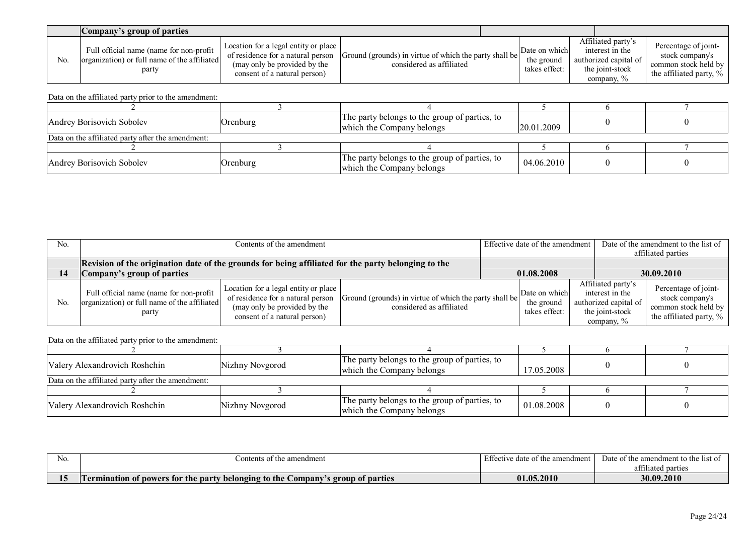|     | <b>Company's group of parties</b>                                                                |                                                                                                                                           |                                                                                    |                                              |                                                                                                 |                                                                                               |
|-----|--------------------------------------------------------------------------------------------------|-------------------------------------------------------------------------------------------------------------------------------------------|------------------------------------------------------------------------------------|----------------------------------------------|-------------------------------------------------------------------------------------------------|-----------------------------------------------------------------------------------------------|
| No. | Full official name (name for non-profit<br>organization) or full name of the affiliated<br>party | Location for a legal entity or place<br>of residence for a natural person<br>(may only be provided by the<br>consent of a natural person) | Ground (grounds) in virtue of which the party shall be<br>considered as affiliated | Date on which<br>the ground<br>takes effect: | Affiliated party's<br>interest in the<br>authorized capital of<br>the joint-stock<br>company, % | Percentage of joint-<br>stock company's<br>common stock held by<br>the affiliated party, $\%$ |

| Andrey Borisovich Sobolev                         | <b>Orenburg</b> | The party belongs to the group of parties, to<br>which the Company belongs | 120.01.2009 |  |
|---------------------------------------------------|-----------------|----------------------------------------------------------------------------|-------------|--|
| Data on the affiliated party after the amendment: |                 |                                                                            |             |  |
|                                                   |                 |                                                                            |             |  |
| Andrey Borisovich Sobolev                         | Orenburg        | The party belongs to the group of parties, to<br>which the Company belongs | 04.06.2010  |  |

| No. | Contents of the amendment                                                                                                         |                                                                                                                                           |                                                                                    | Effective date of the amendment I |                                              |  |                                                                                                    | Date of the amendment to the list of<br>affiliated parties                                 |
|-----|-----------------------------------------------------------------------------------------------------------------------------------|-------------------------------------------------------------------------------------------------------------------------------------------|------------------------------------------------------------------------------------|-----------------------------------|----------------------------------------------|--|----------------------------------------------------------------------------------------------------|--------------------------------------------------------------------------------------------|
|     | Revision of the origination date of the grounds for being affiliated for the party belonging to the<br>Company's group of parties |                                                                                                                                           |                                                                                    |                                   | 01.08.2008                                   |  |                                                                                                    | 30.09.2010                                                                                 |
| No  | Full official name (name for non-profit<br>organization) or full name of the affiliated<br>party                                  | Location for a legal entity or place<br>of residence for a natural person<br>(may only be provided by the<br>consent of a natural person) | Ground (grounds) in virtue of which the party shall be<br>considered as affiliated |                                   | Date on which<br>the ground<br>takes effect: |  | Affiliated party's<br>interest in the<br>authorized capital of<br>the joint-stock<br>company, $\%$ | Percentage of joint-<br>stock company's<br>common stock held by<br>the affiliated party, % |

| Valery Alexandrovich Roshchin                     | Nizhny Novgorod | The party belongs to the group of parties, to<br>which the Company belongs | 17.05.2008 |  |
|---------------------------------------------------|-----------------|----------------------------------------------------------------------------|------------|--|
| Data on the affiliated party after the amendment: |                 |                                                                            |            |  |
|                                                   |                 |                                                                            |            |  |
| Valery Alexandrovich Roshchin                     | Nizhny Novgorod | The party belongs to the group of parties, to<br>which the Company belongs | 01.08.2008 |  |

| No.      | amendment<br>ontents<br>, of the                                                                                                                     | Effec<br>amendment -<br>oto.<br>or me<br>re uaie | Date<br>⊤th⇔<br>mendmen<br>ameno<br>the<br>11St 01<br>. |
|----------|------------------------------------------------------------------------------------------------------------------------------------------------------|--------------------------------------------------|---------------------------------------------------------|
|          |                                                                                                                                                      |                                                  | attı<br>nortio<br>n ta<br>iaicu<br>partico              |
| 1 E<br>- | to the <b>s</b><br>' belonging<br>t of powers for the<br>$\angle$ ompany<br>$^{\circ}$ $^{\circ}$ roup $_{\odot}$ .<br>of parties<br>: par<br>nation | .05.2010<br>$\mathbf{0}$                         | 30.09.2010                                              |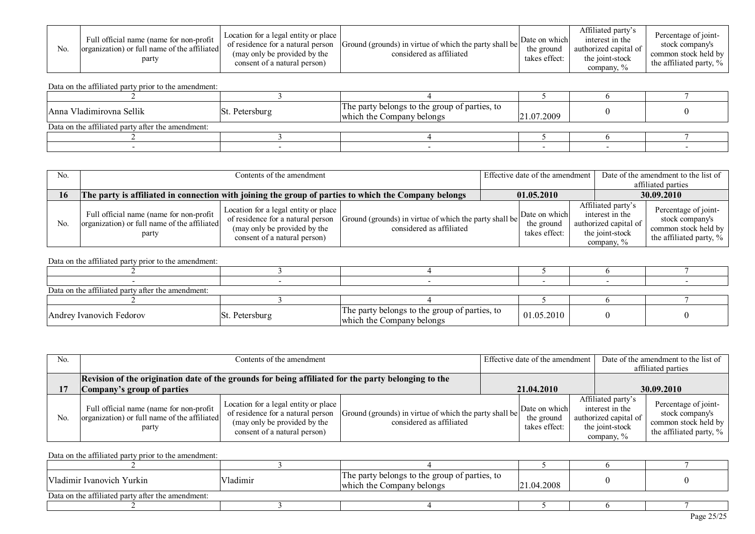| N <sub>0</sub> | Full official name (name for non-profit<br>organization) or full name of the affiliated<br>party | Location for a legal entity or place<br>of residence for a natural person<br>(may only be provided by the<br>consent of a natural person) | Ground (grounds) in virtue of which the party shall be<br>considered as affiliated | Date on which<br>the ground<br>takes effect: | Affiliated party's<br>interest in the<br>authorized capital of<br>the joint-stock<br>company, % | Percentage of joint-<br>stock company's<br>common stock held by<br>the affiliated party, $\%$ |
|----------------|--------------------------------------------------------------------------------------------------|-------------------------------------------------------------------------------------------------------------------------------------------|------------------------------------------------------------------------------------|----------------------------------------------|-------------------------------------------------------------------------------------------------|-----------------------------------------------------------------------------------------------|
|----------------|--------------------------------------------------------------------------------------------------|-------------------------------------------------------------------------------------------------------------------------------------------|------------------------------------------------------------------------------------|----------------------------------------------|-------------------------------------------------------------------------------------------------|-----------------------------------------------------------------------------------------------|

| Anna Vladimirovna Sellik                          | St. Petersburg | The party belongs to the group of parties, to<br>which the Company belongs | 21.07.2009 |  |
|---------------------------------------------------|----------------|----------------------------------------------------------------------------|------------|--|
| Data on the affiliated party after the amendment: |                |                                                                            |            |  |
|                                                   |                |                                                                            |            |  |
|                                                   |                |                                                                            |            |  |

| No.            |                                                                                                      | Contents of the amendment                                                                                                                 |                                                                                    |  |                                              | Effective date of the amendment | Date of the amendment to the list of                                                               |                                                                                               |
|----------------|------------------------------------------------------------------------------------------------------|-------------------------------------------------------------------------------------------------------------------------------------------|------------------------------------------------------------------------------------|--|----------------------------------------------|---------------------------------|----------------------------------------------------------------------------------------------------|-----------------------------------------------------------------------------------------------|
|                |                                                                                                      |                                                                                                                                           |                                                                                    |  |                                              |                                 | affiliated parties                                                                                 |                                                                                               |
| 16             | The party is affiliated in connection with joining the group of parties to which the Company belongs |                                                                                                                                           |                                                                                    |  | 01.05.2010                                   |                                 | 30.09.2010                                                                                         |                                                                                               |
| N <sub>o</sub> | Full official name (name for non-profit  <br>organization) or full name of the affiliated<br>party   | Location for a legal entity or place<br>of residence for a natural person<br>(may only be provided by the<br>consent of a natural person) | Ground (grounds) in virtue of which the party shall be<br>considered as affiliated |  | Date on which<br>the ground<br>takes effect: |                                 | Affiliated party's<br>interest in the<br>authorized capital of<br>the joint-stock<br>company, $\%$ | Percentage of joint-<br>stock company's<br>common stock held by<br>the affiliated party, $\%$ |

Data on the affiliated party prior to the amendment:

| Data on the affiliated party after the amendment: |                |                                                                            |            |  |  |  |  |  |
|---------------------------------------------------|----------------|----------------------------------------------------------------------------|------------|--|--|--|--|--|
|                                                   |                |                                                                            |            |  |  |  |  |  |
| Andrey Ivanovich Fedorov                          | St. Petersburg | The party belongs to the group of parties, to<br>which the Company belongs | 01.05.2010 |  |  |  |  |  |

| No. |                                                                                                                                   | Contents of the amendment                                                                                                                 |                                                                                    |  | Effective date of the amendment b            |            |                                                                                                    | Date of the amendment to the list of<br>affiliated parties                                 |  |
|-----|-----------------------------------------------------------------------------------------------------------------------------------|-------------------------------------------------------------------------------------------------------------------------------------------|------------------------------------------------------------------------------------|--|----------------------------------------------|------------|----------------------------------------------------------------------------------------------------|--------------------------------------------------------------------------------------------|--|
|     | Revision of the origination date of the grounds for being affiliated for the party belonging to the<br>Company's group of parties |                                                                                                                                           | 21.04.2010                                                                         |  |                                              | 30.09.2010 |                                                                                                    |                                                                                            |  |
| No. | Full official name (name for non-profit<br>organization) or full name of the affiliated<br>party                                  | Location for a legal entity or place<br>of residence for a natural person<br>(may only be provided by the<br>consent of a natural person) | Ground (grounds) in virtue of which the party shall be<br>considered as affiliated |  | Date on which<br>the ground<br>takes effect: |            | Affiliated party's<br>interest in the<br>authorized capital of<br>the joint-stock<br>company, $\%$ | Percentage of joint-<br>stock company's<br>common stock held by<br>the affiliated party, % |  |

| Vladimir Ivanovich Yurkin                         | Vladimir | The party belongs to the group of parties, to<br>which the Company belongs | 1.04.2008 |  |  |  |  |
|---------------------------------------------------|----------|----------------------------------------------------------------------------|-----------|--|--|--|--|
| Data on the affiliated party after the amendment: |          |                                                                            |           |  |  |  |  |
|                                                   |          |                                                                            |           |  |  |  |  |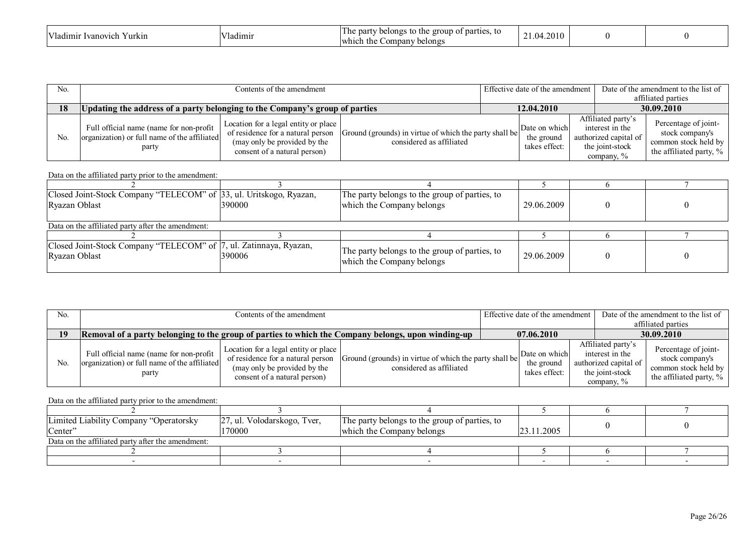| $\mathbf{1}$ $\mathbf{7}$<br>vanovic'<br>urkın<br>adımır " | $\mathbf{r}$<br>ladımı | of parties.<br>par<br>$L$ 1011 $2^c$<br>τo<br>r ne-<br><br><u>tne</u><br>,,,,<br>the<br>$\mathcal{L}^{\text{OPT}}$<br>Jany.<br>belongs<br>-wh<br>ю | 201<br> |  |  |
|------------------------------------------------------------|------------------------|----------------------------------------------------------------------------------------------------------------------------------------------------|---------|--|--|
|------------------------------------------------------------|------------------------|----------------------------------------------------------------------------------------------------------------------------------------------------|---------|--|--|

| No.            |                                                                                                   | Contents of the amendment                                                                                                                 |                                                                                    |            |                                              | Effective date of the amendment | Date of the amendment to the list of                                                            |                                                                                               |
|----------------|---------------------------------------------------------------------------------------------------|-------------------------------------------------------------------------------------------------------------------------------------------|------------------------------------------------------------------------------------|------------|----------------------------------------------|---------------------------------|-------------------------------------------------------------------------------------------------|-----------------------------------------------------------------------------------------------|
|                |                                                                                                   |                                                                                                                                           |                                                                                    |            |                                              |                                 | affiliated parties                                                                              |                                                                                               |
| 18             | Updating the address of a party belonging to the Company's group of parties                       |                                                                                                                                           |                                                                                    | 12.04.2010 |                                              |                                 | 30.09.2010                                                                                      |                                                                                               |
| N <sub>0</sub> | Full official name (name for non-profit)<br>organization) or full name of the affiliated<br>party | Location for a legal entity or place<br>of residence for a natural person<br>(may only be provided by the<br>consent of a natural person) | Ground (grounds) in virtue of which the party shall be<br>considered as affiliated |            | Date on which<br>the ground<br>takes effect: |                                 | Affiliated party's<br>interest in the<br>authorized capital of<br>the joint-stock<br>company, % | Percentage of joint-<br>stock company's<br>common stock held by<br>the affiliated party, $\%$ |

| Closed Joint-Stock Company "TELECOM" of 33, ul. Uritskogo, Ryazan,<br>Ryazan Oblast | 390000 | The party belongs to the group of parties, to<br>which the Company belongs | 29.06.2009 |  |  |  |  |  |
|-------------------------------------------------------------------------------------|--------|----------------------------------------------------------------------------|------------|--|--|--|--|--|
| Data on the affiliated party after the amendment:                                   |        |                                                                            |            |  |  |  |  |  |
|                                                                                     |        |                                                                            |            |  |  |  |  |  |
| Closed Joint-Stock Company "TELECOM" of 7, ul. Zatinnaya, Ryazan,<br>Ryazan Oblast  | 390006 | The party belongs to the group of parties, to<br>which the Company belongs | 29.06.2009 |  |  |  |  |  |

| N <sub>0</sub> | Contents of the amendment                                                                          |                                                                                                                                           |                                                                                    |            | Effective date of the amendment              |                                                                                                    | Date of the amendment to the list of                                                       |  |
|----------------|----------------------------------------------------------------------------------------------------|-------------------------------------------------------------------------------------------------------------------------------------------|------------------------------------------------------------------------------------|------------|----------------------------------------------|----------------------------------------------------------------------------------------------------|--------------------------------------------------------------------------------------------|--|
| 19             | Removal of a party belonging to the group of parties to which the Company belongs, upon winding-up |                                                                                                                                           |                                                                                    | 07.06.2010 |                                              |                                                                                                    | affiliated parties<br>30.09.2010                                                           |  |
| N <sub>0</sub> | Full official name (name for non-profit  <br>organization) or full name of the affiliated<br>party | Location for a legal entity or place<br>of residence for a natural person<br>(may only be provided by the<br>consent of a natural person) | Ground (grounds) in virtue of which the party shall be<br>considered as affiliated |            | Date on which<br>the ground<br>takes effect: | Affiliated party's<br>interest in the<br>authorized capital of<br>the joint-stock<br>company, $\%$ | Percentage of joint-<br>stock company's<br>common stock held by<br>the affiliated party, % |  |

| Limited Liability Company "Operatorsky            | [27, ul. Volodarskogo, Tver, | The party belongs to the group of parties, to |            |  |  |  |  |  |  |
|---------------------------------------------------|------------------------------|-----------------------------------------------|------------|--|--|--|--|--|--|
| Center"                                           | 170000                       | which the Company belongs                     | 23.11.2005 |  |  |  |  |  |  |
| Data on the affiliated party after the amendment: |                              |                                               |            |  |  |  |  |  |  |
|                                                   |                              |                                               |            |  |  |  |  |  |  |
|                                                   |                              |                                               |            |  |  |  |  |  |  |